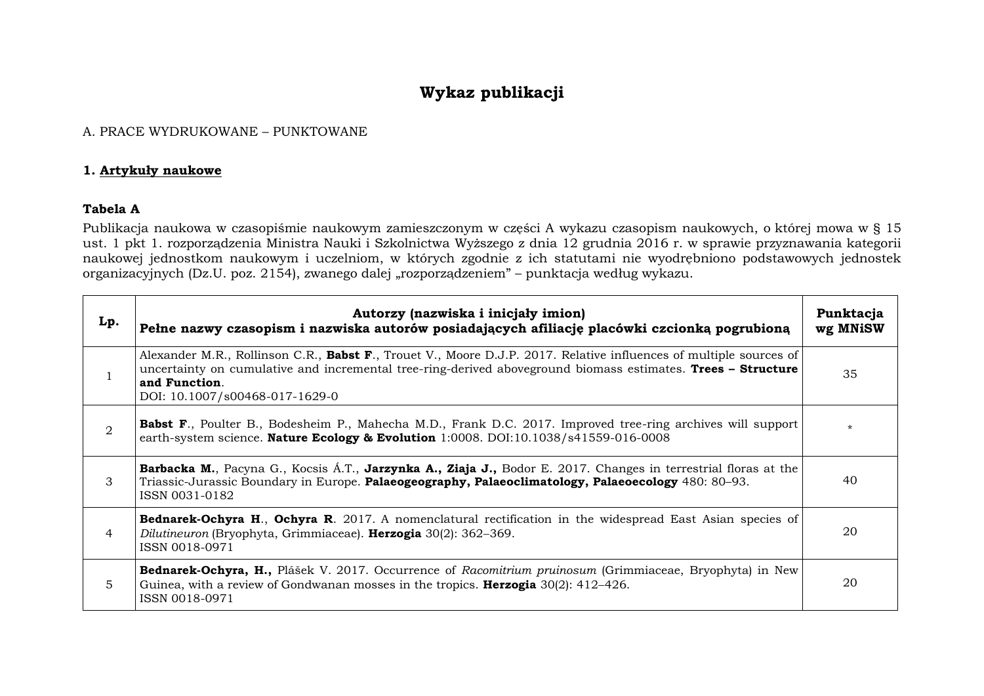# **Wykaz publikacji**

### A. PRACE WYDRUKOWANE – PUNKTOWANE

### **1. Artykuły naukowe**

### **Tabela A**

Publikacja naukowa w czasopiśmie naukowym zamieszczonym w części A wykazu czasopism naukowych, o której mowa w § 15 ust. 1 pkt 1. rozporządzenia Ministra Nauki i Szkolnictwa Wyższego z dnia 12 grudnia 2016 r. w sprawie przyznawania kategorii naukowej jednostkom naukowym i uczelniom, w których zgodnie z ich statutami nie wyodrębniono podstawowych jednostek organizacyjnych (Dz.U. poz. 2154), zwanego dalej "rozporządzeniem" – punktacja według wykazu.

| Lp. | Autorzy (nazwiska i inicjały imion)<br>Pełne nazwy czasopism i nazwiska autorów posiadających afiliację placówki czcionką pogrubioną                                                                                                                                                  | Punktacja<br>wg MNiSW |
|-----|---------------------------------------------------------------------------------------------------------------------------------------------------------------------------------------------------------------------------------------------------------------------------------------|-----------------------|
|     | Alexander M.R., Rollinson C.R., Babst F., Trouet V., Moore D.J.P. 2017. Relative influences of multiple sources of<br>uncertainty on cumulative and incremental tree-ring-derived aboveground biomass estimates. Trees – Structure<br>and Function.<br>DOI: 10.1007/s00468-017-1629-0 | 35                    |
| 2   | <b>Babst F.</b> , Poulter B., Bodesheim P., Mahecha M.D., Frank D.C. 2017. Improved tree-ring archives will support<br>earth-system science. Nature Ecology & Evolution 1:0008. DOI:10.1038/s41559-016-0008                                                                           | $\star$               |
| 3   | Barbacka M., Pacyna G., Kocsis Á.T., Jarzynka A., Ziaja J., Bodor E. 2017. Changes in terrestrial floras at the<br>Triassic-Jurassic Boundary in Europe. Palaeogeography, Palaeoclimatology, Palaeoecology 480: 80–93.<br>ISSN 0031-0182                                              | 40                    |
| 4   | <b>Bednarek-Ochyra H., Ochyra R.</b> 2017. A nomenclatural rectification in the widespread East Asian species of<br>Dilutineuron (Bryophyta, Grimmiaceae). Herzogia 30(2): 362–369.<br>ISSN 0018-0971                                                                                 | 20                    |
| 5   | <b>Bednarek-Ochyra, H.,</b> Plášek V. 2017. Occurrence of Racomitrium pruinosum (Grimmiaceae, Bryophyta) in New<br>Guinea, with a review of Gondwanan mosses in the tropics. <b>Herzogia</b> $30(2)$ : 412–426.<br>ISSN 0018-0971                                                     | 20                    |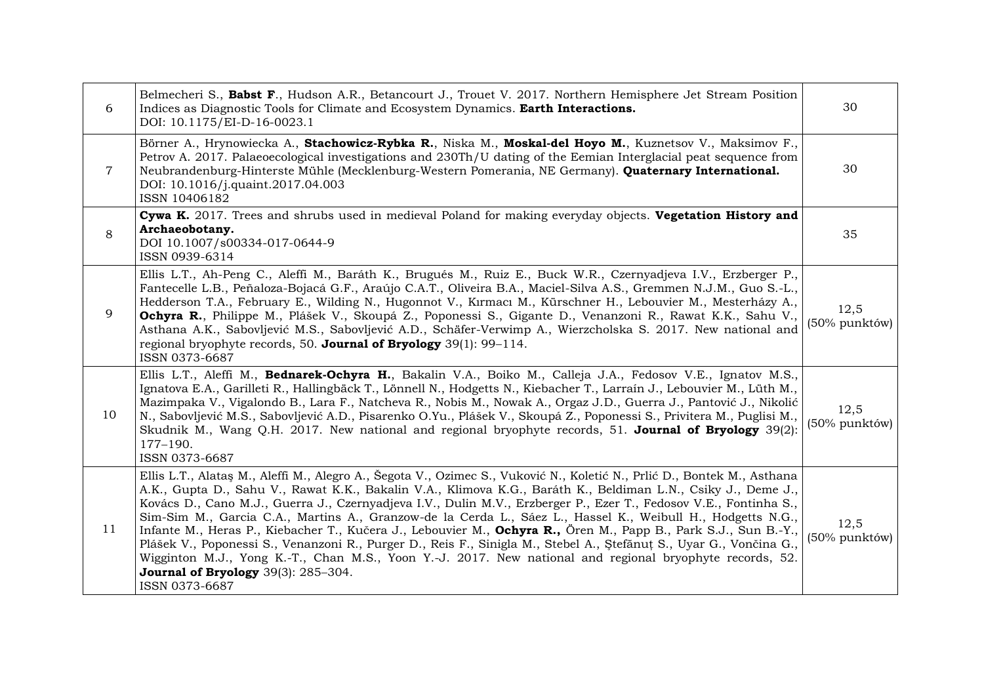| 6              | Belmecheri S., Babst F., Hudson A.R., Betancourt J., Trouet V. 2017. Northern Hemisphere Jet Stream Position<br>Indices as Diagnostic Tools for Climate and Ecosystem Dynamics. Earth Interactions.<br>DOI: 10.1175/EI-D-16-0023.1                                                                                                                                                                                                                                                                                                                                                                                                                                                                                                                                                                                                                                                                 | 30                    |
|----------------|----------------------------------------------------------------------------------------------------------------------------------------------------------------------------------------------------------------------------------------------------------------------------------------------------------------------------------------------------------------------------------------------------------------------------------------------------------------------------------------------------------------------------------------------------------------------------------------------------------------------------------------------------------------------------------------------------------------------------------------------------------------------------------------------------------------------------------------------------------------------------------------------------|-----------------------|
| $\overline{7}$ | Börner A., Hrynowiecka A., Stachowicz-Rybka R., Niska M., Moskal-del Hoyo M., Kuznetsov V., Maksimov F.,<br>Petrov A. 2017. Palaeoecological investigations and 230Th/U dating of the Eemian Interglacial peat sequence from<br>Neubrandenburg-Hinterste Mühle (Mecklenburg-Western Pomerania, NE Germany). Quaternary International.<br>DOI: 10.1016/j.quaint.2017.04.003<br>ISSN 10406182                                                                                                                                                                                                                                                                                                                                                                                                                                                                                                        | 30                    |
| 8              | Cywa K. 2017. Trees and shrubs used in medieval Poland for making everyday objects. Vegetation History and<br>Archaeobotany.<br>DOI 10.1007/s00334-017-0644-9<br>ISSN 0939-6314                                                                                                                                                                                                                                                                                                                                                                                                                                                                                                                                                                                                                                                                                                                    | 35                    |
| 9              | Ellis L.T., Ah-Peng C., Aleffi M., Baráth K., Brugués M., Ruiz E., Buck W.R., Czernyadjeva I.V., Erzberger P.,<br>Fantecelle L.B., Peñaloza-Bojacá G.F., Araújo C.A.T., Oliveira B.A., Maciel-Silva A.S., Gremmen N.J.M., Guo S.-L.,<br>Hedderson T.A., February E., Wilding N., Hugonnot V., Kırmacı M., Kürschner H., Lebouvier M., Mesterházy A.,<br>Ochyra R., Philippe M., Plášek V., Skoupá Z., Poponessi S., Gigante D., Venanzoni R., Rawat K.K., Sahu V.,<br>Asthana A.K., Sabovljević M.S., Sabovljević A.D., Schäfer-Verwimp A., Wierzcholska S. 2017. New national and<br>regional bryophyte records, 50. Journal of Bryology 39(1): 99-114.<br>ISSN 0373-6687                                                                                                                                                                                                                         | 12,5<br>(50% punktów) |
| 10             | Ellis L.T., Aleffi M., Bednarek-Ochyra H., Bakalin V.A., Boiko M., Calleja J.A., Fedosov V.E., Ignatov M.S.,<br>Ignatova E.A., Garilleti R., Hallingbäck T., Lönnell N., Hodgetts N., Kiebacher T., Larraín J., Lebouvier M., Lüth M.,<br>Mazimpaka V., Vigalondo B., Lara F., Natcheva R., Nobis M., Nowak A., Orgaz J.D., Guerra J., Pantović J., Nikolić<br>N., Sabovljević M.S., Sabovljević A.D., Pisarenko O.Yu., Plášek V., Skoupá Z., Poponessi S., Privitera M., Puglisi M.,<br>Skudnik M., Wang Q.H. 2017. New national and regional bryophyte records, 51. Journal of Bryology 39(2):<br>177-190.<br>ISSN 0373-6687                                                                                                                                                                                                                                                                     | 12,5<br>(50% punktów) |
| 11             | Ellis L.T., Alataş M., Aleffi M., Alegro A., Šegota V., Ozimec S., Vuković N., Koletić N., Prlić D., Bontek M., Asthana<br>A.K., Gupta D., Sahu V., Rawat K.K., Bakalin V.A., Klimova K.G., Baráth K., Beldiman L.N., Csiky J., Deme J.,<br>Kovács D., Cano M.J., Guerra J., Czernyadjeva I.V., Dulin M.V., Erzberger P., Ezer T., Fedosov V.E., Fontinha S.,<br>Sim-Sim M., Garcia C.A., Martins A., Granzow-de la Cerda L., Sáez L., Hassel K., Weibull H., Hodgetts N.G.,<br>Infante M., Heras P., Kiebacher T., Kučera J., Lebouvier M., Ochyra R., Ören M., Papp B., Park S.J., Sun B.-Y.,<br>Plášek V., Poponessi S., Venanzoni R., Purger D., Reis F., Sinigla M., Stebel A., Stefănuț S., Uyar G., Vončina G.,<br>Wigginton M.J., Yong K.-T., Chan M.S., Yoon Y.-J. 2017. New national and regional bryophyte records, 52.<br><b>Journal of Bryology</b> 39(3): 285-304.<br>ISSN 0373-6687 | 12,5<br>(50% punktów) |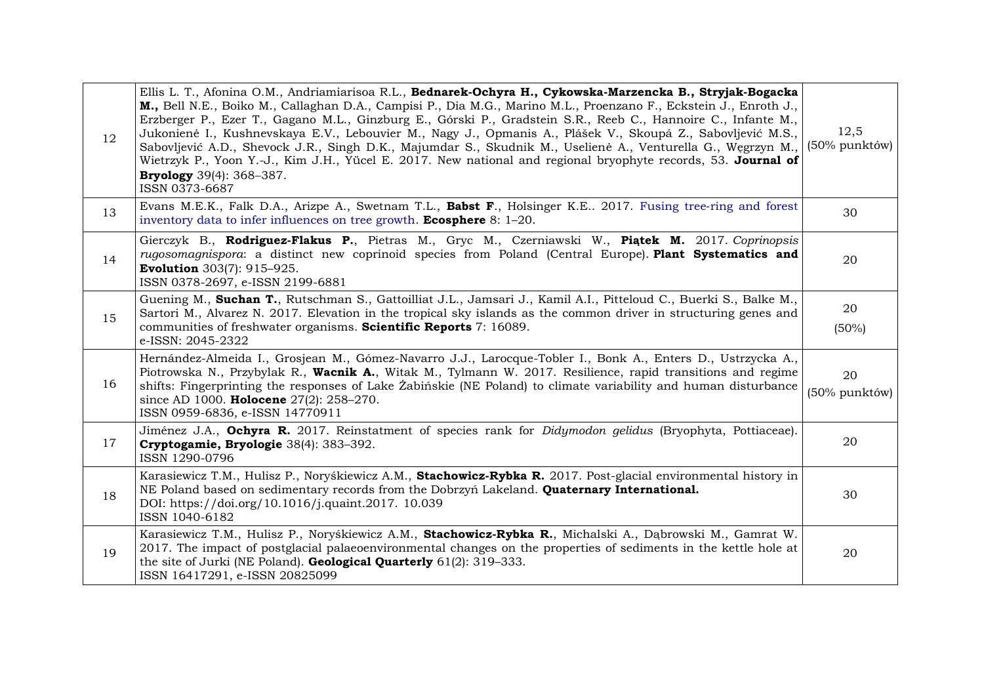| 12 | Ellis L. T., Afonina O.M., Andriamiarisoa R.L., Bednarek-Ochyra H., Cykowska-Marzencka B., Stryjak-Bogacka<br>M., Bell N.E., Boiko M., Callaghan D.A., Campisi P., Dia M.G., Marino M.L., Proenzano F., Eckstein J., Enroth J.,<br>Erzberger P., Ezer T., Gagano M.L., Ginzburg E., Górski P., Gradstein S.R., Reeb C., Hannoire C., Infante M.,<br>Jukonienė I., Kushnevskaya E.V., Lebouvier M., Nagy J., Opmanis A., Plášek V., Skoupá Z., Sabovljević M.S.,<br>Sabovljević A.D., Shevock J.R., Singh D.K., Majumdar S., Skudnik M., Uselienė A., Venturella G., Węgrzyn M.,<br>Wietrzyk P., Yoon Y.-J., Kim J.H., Yücel E. 2017. New national and regional bryophyte records, 53. Journal of<br><b>Bryology</b> 39(4): 368-387.<br>ISSN 0373-6687 | 12,5<br>(50% punktów) |
|----|-------------------------------------------------------------------------------------------------------------------------------------------------------------------------------------------------------------------------------------------------------------------------------------------------------------------------------------------------------------------------------------------------------------------------------------------------------------------------------------------------------------------------------------------------------------------------------------------------------------------------------------------------------------------------------------------------------------------------------------------------------|-----------------------|
| 13 | Evans M.E.K., Falk D.A., Arizpe A., Swetnam T.L., Babst F., Holsinger K.E 2017. Fusing tree-ring and forest<br>inventory data to infer influences on tree growth. <b>Ecosphere</b> 8: $1-20$ .                                                                                                                                                                                                                                                                                                                                                                                                                                                                                                                                                        | 30                    |
| 14 | Gierczyk B., Rodriguez-Flakus P., Pietras M., Gryc M., Czerniawski W., Piątek M. 2017. Coprinopsis<br>rugosomagnispora: a distinct new coprinoid species from Poland (Central Europe). Plant Systematics and<br><b>Evolution</b> 303(7): 915-925.<br>ISSN 0378-2697, e-ISSN 2199-6881                                                                                                                                                                                                                                                                                                                                                                                                                                                                 | 20                    |
| 15 | Guening M., Suchan T., Rutschman S., Gattoilliat J.L., Jamsari J., Kamil A.I., Pitteloud C., Buerki S., Balke M.,<br>Sartori M., Alvarez N. 2017. Elevation in the tropical sky islands as the common driver in structuring genes and<br>communities of freshwater organisms. Scientific Reports 7: 16089.<br>e-ISSN: 2045-2322                                                                                                                                                                                                                                                                                                                                                                                                                       | 20<br>$(50\%)$        |
| 16 | Hernández-Almeida I., Grosjean M., Gómez-Navarro J.J., Larocque-Tobler I., Bonk A., Enters D., Ustrzycka A.,<br>Piotrowska N., Przybylak R., Wacnik A., Witak M., Tylmann W. 2017. Resilience, rapid transitions and regime<br>shifts: Fingerprinting the responses of Lake Zabinskie (NE Poland) to climate variability and human disturbance<br>since AD 1000. Holocene 27(2): 258-270.<br>ISSN 0959-6836, e-ISSN 14770911                                                                                                                                                                                                                                                                                                                          | 20<br>(50% punktów)   |
| 17 | Jiménez J.A., Ochyra R. 2017. Reinstatment of species rank for Didymodon gelidus (Bryophyta, Pottiaceae).<br>Cryptogamie, Bryologie 38(4): 383-392.<br>ISSN 1290-0796                                                                                                                                                                                                                                                                                                                                                                                                                                                                                                                                                                                 | 20                    |
| 18 | Karasiewicz T.M., Hulisz P., Noryśkiewicz A.M., Stachowicz-Rybka R. 2017. Post-glacial environmental history in<br>NE Poland based on sedimentary records from the Dobrzyń Lakeland. Quaternary International.<br>DOI: https://doi.org/10.1016/j.quaint.2017. 10.039<br>ISSN 1040-6182                                                                                                                                                                                                                                                                                                                                                                                                                                                                | 30                    |
| 19 | Karasiewicz T.M., Hulisz P., Noryśkiewicz A.M., Stachowicz-Rybka R., Michalski A., Dąbrowski M., Gamrat W.<br>2017. The impact of postglacial palaeoenvironmental changes on the properties of sediments in the kettle hole at<br>the site of Jurki (NE Poland). Geological Quarterly 61(2): 319-333.<br>ISSN 16417291, e-ISSN 20825099                                                                                                                                                                                                                                                                                                                                                                                                               | 20                    |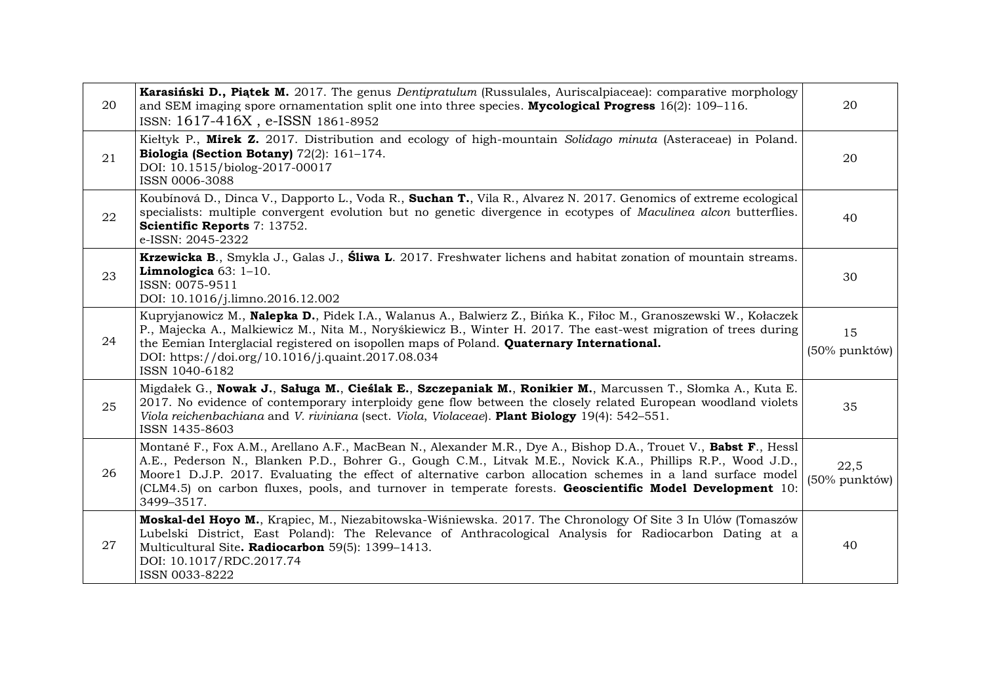| 20 | Karasiński D., Piątek M. 2017. The genus Dentipratulum (Russulales, Auriscalpiaceae): comparative morphology<br>and SEM imaging spore ornamentation split one into three species. <b>Mycological Progress</b> $16(2)$ : 109–116.<br>ISSN: 1617-416X, e-ISSN 1861-8952                                                                                                                                                                                                   | 20                    |
|----|-------------------------------------------------------------------------------------------------------------------------------------------------------------------------------------------------------------------------------------------------------------------------------------------------------------------------------------------------------------------------------------------------------------------------------------------------------------------------|-----------------------|
| 21 | Kiełtyk P., Mirek Z. 2017. Distribution and ecology of high-mountain Solidago minuta (Asteraceae) in Poland.<br>Biologia (Section Botany) 72(2): 161-174.<br>DOI: 10.1515/biolog-2017-00017<br>ISSN 0006-3088                                                                                                                                                                                                                                                           | 20                    |
| 22 | Koubínová D., Dinca V., Dapporto L., Voda R., <b>Suchan T.</b> , Vila R., Alvarez N. 2017. Genomics of extreme ecological<br>specialists: multiple convergent evolution but no genetic divergence in ecotypes of Maculinea alcon butterflies.<br>Scientific Reports 7: 13752.<br>e-ISSN: 2045-2322                                                                                                                                                                      | 40                    |
| 23 | Krzewicka B., Smykla J., Galas J., Śliwa L. 2017. Freshwater lichens and habitat zonation of mountain streams.<br>Limnologica $63:1-10$ .<br>ISSN: 0075-9511<br>DOI: 10.1016/j.limno.2016.12.002                                                                                                                                                                                                                                                                        | 30                    |
| 24 | Kupryjanowicz M., Nalepka D., Pidek I.A., Walanus A., Balwierz Z., Bińka K., Fiłoc M., Granoszewski W., Kołaczek<br>P., Majecka A., Malkiewicz M., Nita M., Noryśkiewicz B., Winter H. 2017. The east-west migration of trees during<br>the Eemian Interglacial registered on isopollen maps of Poland. Quaternary International.<br>DOI: https://doi.org/10.1016/j.quaint.2017.08.034<br>ISSN 1040-6182                                                                | 15<br>(50% punktów)   |
| 25 | Migdałek G., Nowak J., Saługa M., Cieślak E., Szczepaniak M., Ronikier M., Marcussen T., Słomka A., Kuta E.<br>2017. No evidence of contemporary interploidy gene flow between the closely related European woodland violets<br>Viola reichenbachiana and V. riviniana (sect. Viola, Violaceae). Plant Biology 19(4): 542-551.<br>ISSN 1435-8603                                                                                                                        | 35                    |
| 26 | Montané F., Fox A.M., Arellano A.F., MacBean N., Alexander M.R., Dye A., Bishop D.A., Trouet V., Babst F., Hessl<br>A.E., Pederson N., Blanken P.D., Bohrer G., Gough C.M., Litvak M.E., Novick K.A., Phillips R.P., Wood J.D.,<br>Moore1 D.J.P. 2017. Evaluating the effect of alternative carbon allocation schemes in a land surface model<br>(CLM4.5) on carbon fluxes, pools, and turnover in temperate forests. Geoscientific Model Development 10:<br>3499-3517. | 22,5<br>(50% punktów) |
| 27 | Moskal-del Hoyo M., Krapiec, M., Niezabitowska-Wiśniewska. 2017. The Chronology Of Site 3 In Ulów (Tomaszów<br>Lubelski District, East Poland): The Relevance of Anthracological Analysis for Radiocarbon Dating at a<br>Multicultural Site. Radiocarbon 59(5): 1399-1413.<br>DOI: 10.1017/RDC.2017.74<br>ISSN 0033-8222                                                                                                                                                | 40                    |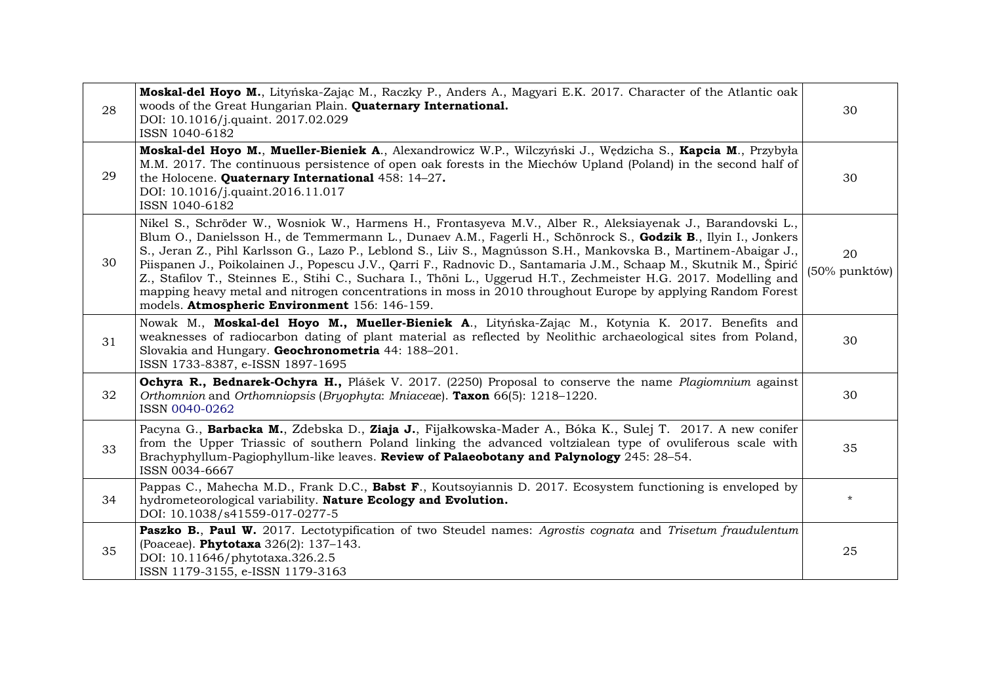| 28 | Moskal-del Hoyo M., Lityńska-Zając M., Raczky P., Anders A., Magyari E.K. 2017. Character of the Atlantic oak<br>woods of the Great Hungarian Plain. Quaternary International.<br>DOI: 10.1016/j.quaint. 2017.02.029<br>ISSN 1040-6182                                                                                                                                                                                                                                                                                                                                                                                                                                                                                                                    | 30                  |
|----|-----------------------------------------------------------------------------------------------------------------------------------------------------------------------------------------------------------------------------------------------------------------------------------------------------------------------------------------------------------------------------------------------------------------------------------------------------------------------------------------------------------------------------------------------------------------------------------------------------------------------------------------------------------------------------------------------------------------------------------------------------------|---------------------|
| 29 | Moskal-del Hoyo M., Mueller-Bieniek A., Alexandrowicz W.P., Wilczyński J., Wędzicha S., Kapcia M., Przybyła<br>M.M. 2017. The continuous persistence of open oak forests in the Miechów Upland (Poland) in the second half of<br>the Holocene. Quaternary International 458: 14-27.<br>DOI: 10.1016/j.quaint.2016.11.017<br>ISSN 1040-6182                                                                                                                                                                                                                                                                                                                                                                                                                | 30                  |
| 30 | Nikel S., Schröder W., Wosniok W., Harmens H., Frontasyeva M.V., Alber R., Aleksiayenak J., Barandovski L.,<br>Blum O., Danielsson H., de Temmermann L., Dunaev A.M., Fagerli H., Schönrock S., Godzik B., Ilyin I., Jonkers<br>S., Jeran Z., Pihl Karlsson G., Lazo P., Leblond S., Liiv S., Magnússon S.H., Mankovska B., Martinem-Abaigar J.,<br>Piispanen J., Poikolainen J., Popescu J.V., Qarri F., Radnovic D., Santamaria J.M., Schaap M., Skutnik M., Špirić<br>Z., Stafilov T., Steinnes E., Stihi C., Suchara I., Thöni L., Uggerud H.T., Zechmeister H.G. 2017. Modelling and<br>mapping heavy metal and nitrogen concentrations in moss in 2010 throughout Europe by applying Random Forest<br>models. Atmospheric Environment 156: 146-159. | 20<br>(50% punktów) |
| 31 | Nowak M., Moskal-del Hoyo M., Mueller-Bieniek A., Lityńska-Zając M., Kotynia K. 2017. Benefits and<br>weaknesses of radiocarbon dating of plant material as reflected by Neolithic archaeological sites from Poland,<br>Slovakia and Hungary. Geochronometria 44: 188-201.<br>ISSN 1733-8387, e-ISSN 1897-1695                                                                                                                                                                                                                                                                                                                                                                                                                                            | 30                  |
| 32 | Ochyra R., Bednarek-Ochyra H., Plášek V. 2017. (2250) Proposal to conserve the name Plagiomnium against<br>Orthomnion and Orthomniopsis (Bryophyta: Mniaceae). Taxon $66(5)$ : 1218–1220.<br>ISSN 0040-0262                                                                                                                                                                                                                                                                                                                                                                                                                                                                                                                                               | 30                  |
| 33 | Pacyna G., Barbacka M., Zdebska D., Ziaja J., Fijałkowska-Mader A., Bóka K., Sulej T. 2017. A new conifer<br>from the Upper Triassic of southern Poland linking the advanced voltzialean type of ovuliferous scale with<br>Brachyphyllum-Pagiophyllum-like leaves. Review of Palaeobotany and Palynology 245: 28-54.<br>ISSN 0034-6667                                                                                                                                                                                                                                                                                                                                                                                                                    | 35                  |
| 34 | Pappas C., Mahecha M.D., Frank D.C., Babst F., Koutsoyiannis D. 2017. Ecosystem functioning is enveloped by<br>hydrometeorological variability. Nature Ecology and Evolution.<br>DOI: 10.1038/s41559-017-0277-5                                                                                                                                                                                                                                                                                                                                                                                                                                                                                                                                           | $^\star$            |
| 35 | Paszko B., Paul W. 2017. Lectotypification of two Steudel names: Agrostis cognata and Trisetum fraudulentum<br>(Poaceae). Phytotaxa 326(2): 137-143.<br>DOI: 10.11646/phytotaxa.326.2.5<br>ISSN 1179-3155, e-ISSN 1179-3163                                                                                                                                                                                                                                                                                                                                                                                                                                                                                                                               | 25                  |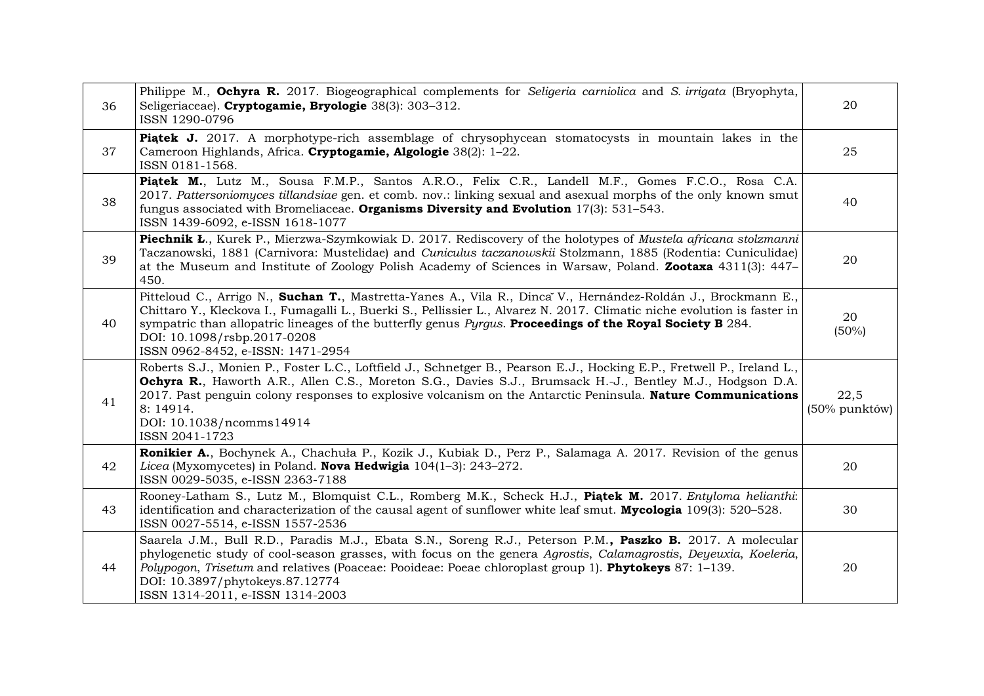| 36 | Philippe M., Ochyra R. 2017. Biogeographical complements for Seligeria carniolica and S. irrigata (Bryophyta,<br>Seligeriaceae). Cryptogamie, Bryologie 38(3): 303-312.<br>ISSN 1290-0796                                                                                                                                                                                                                                  | 20                    |
|----|----------------------------------------------------------------------------------------------------------------------------------------------------------------------------------------------------------------------------------------------------------------------------------------------------------------------------------------------------------------------------------------------------------------------------|-----------------------|
| 37 | <b>Piatek J.</b> 2017. A morphotype-rich assemblage of chrysophycean stomatocysts in mountain lakes in the<br>Cameroon Highlands, Africa. Cryptogamie, Algologie 38(2): 1-22.<br>ISSN 0181-1568.                                                                                                                                                                                                                           | 25                    |
| 38 | Piątek M., Lutz M., Sousa F.M.P., Santos A.R.O., Felix C.R., Landell M.F., Gomes F.C.O., Rosa C.A.<br>2017. Pattersoniomyces tillandsiae gen. et comb. nov.: linking sexual and asexual morphs of the only known smut<br>fungus associated with Bromeliaceae. Organisms Diversity and Evolution $17(3)$ : 531–543.<br>ISSN 1439-6092, e-ISSN 1618-1077                                                                     | 40                    |
| 39 | Piechnik Ł., Kurek P., Mierzwa-Szymkowiak D. 2017. Rediscovery of the holotypes of Mustela africana stolzmanni<br>Taczanowski, 1881 (Carnivora: Mustelidae) and Cuniculus taczanowskii Stolzmann, 1885 (Rodentia: Cuniculidae)<br>at the Museum and Institute of Zoology Polish Academy of Sciences in Warsaw, Poland. Zootaxa 4311(3): 447–<br>450.                                                                       | 20                    |
| 40 | Pitteloud C., Arrigo N., Suchan T., Mastretta-Yanes A., Vila R., Dinca V., Hernández-Roldán J., Brockmann E.,<br>Chittaro Y., Kleckova I., Fumagalli L., Buerki S., Pellissier L., Alvarez N. 2017. Climatic niche evolution is faster in<br>sympatric than allopatric lineages of the butterfly genus Pyrgus. Proceedings of the Royal Society B 284.<br>DOI: 10.1098/rsbp.2017-0208<br>ISSN 0962-8452, e-ISSN: 1471-2954 | 20<br>$(50\%)$        |
| 41 | Roberts S.J., Monien P., Foster L.C., Loftfield J., Schnetger B., Pearson E.J., Hocking E.P., Fretwell P., Ireland L.,<br>Ochyra R., Haworth A.R., Allen C.S., Moreton S.G., Davies S.J., Brumsack H.-J., Bentley M.J., Hodgson D.A.<br>2017. Past penguin colony responses to explosive volcanism on the Antarctic Peninsula. Nature Communications<br>8: 14914.<br>DOI: 10.1038/ncomms14914<br>ISSN 2041-1723            | 22,5<br>(50% punktów) |
| 42 | Ronikier A., Bochynek A., Chachuła P., Kozik J., Kubiak D., Perz P., Salamaga A. 2017. Revision of the genus<br>Licea (Myxomycetes) in Poland. Nova Hedwigia $104(1-3)$ : 243-272.<br>ISSN 0029-5035, e-ISSN 2363-7188                                                                                                                                                                                                     | 20                    |
| 43 | Rooney-Latham S., Lutz M., Blomquist C.L., Romberg M.K., Scheck H.J., Piatek M. 2017. Entyloma helianthi:<br>identification and characterization of the causal agent of sunflower white leaf smut. Mycologia 109(3): 520–528.<br>ISSN 0027-5514, e-ISSN 1557-2536                                                                                                                                                          | 30                    |
| 44 | Saarela J.M., Bull R.D., Paradis M.J., Ebata S.N., Soreng R.J., Peterson P.M., Paszko B. 2017. A molecular<br>phylogenetic study of cool-season grasses, with focus on the genera Agrostis, Calamagrostis, Deyeuxia, Koeleria,<br>Polypogon, Trisetum and relatives (Poaceae: Pooideae: Poeae chloroplast group 1). Phytokeys 87: 1-139.<br>DOI: 10.3897/phytokeys.87.12774<br>ISSN 1314-2011, e-ISSN 1314-2003            | 20                    |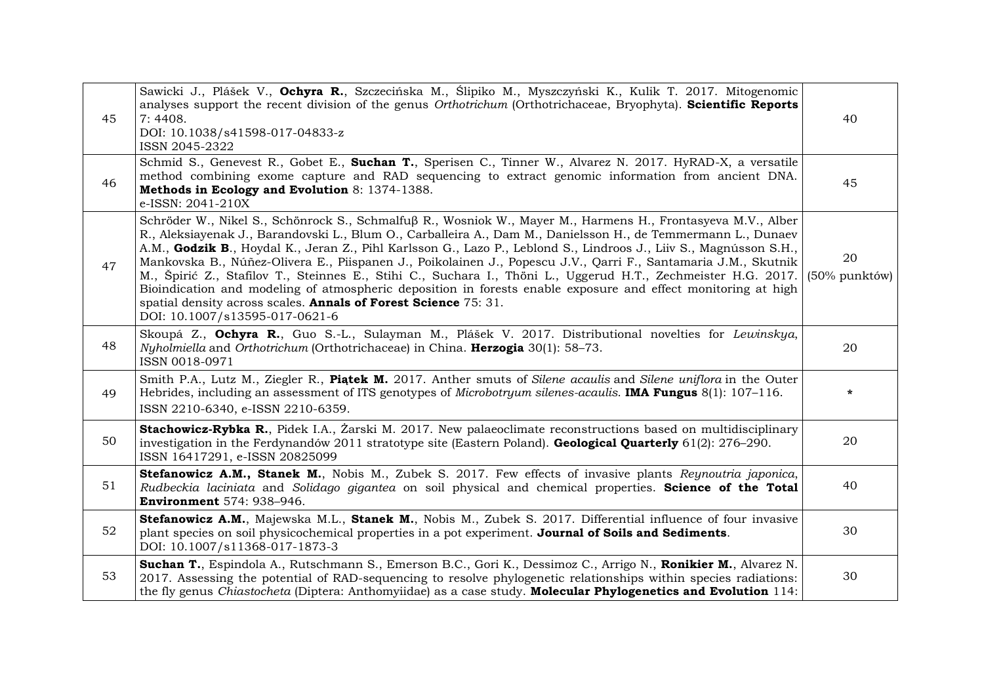| 45 | Sawicki J., Plášek V., Ochyra R., Szczecińska M., Ślipiko M., Myszczyński K., Kulik T. 2017. Mitogenomic<br>analyses support the recent division of the genus Orthotrichum (Orthotrichaceae, Bryophyta). Scientific Reports<br>7:4408.<br>DOI: 10.1038/s41598-017-04833-z<br>ISSN 2045-2322                                                                                                                                                                                                                                                                                                                                                                                                                                                                                                                  | 40                  |
|----|--------------------------------------------------------------------------------------------------------------------------------------------------------------------------------------------------------------------------------------------------------------------------------------------------------------------------------------------------------------------------------------------------------------------------------------------------------------------------------------------------------------------------------------------------------------------------------------------------------------------------------------------------------------------------------------------------------------------------------------------------------------------------------------------------------------|---------------------|
| 46 | Schmid S., Genevest R., Gobet E., Suchan T., Sperisen C., Tinner W., Alvarez N. 2017. HyRAD-X, a versatile<br>method combining exome capture and RAD sequencing to extract genomic information from ancient DNA.<br>Methods in Ecology and Evolution 8: 1374-1388.<br>e-ISSN: 2041-210X                                                                                                                                                                                                                                                                                                                                                                                                                                                                                                                      | 45                  |
| 47 | Schröder W., Nikel S., Schönrock S., Schmalfuß R., Wosniok W., Mayer M., Harmens H., Frontasyeva M.V., Alber<br>R., Aleksiayenak J., Barandovski L., Blum O., Carballeira A., Dam M., Danielsson H., de Temmermann L., Dunaev<br>A.M., Godzik B., Hoydal K., Jeran Z., Pihl Karlsson G., Lazo P., Leblond S., Lindroos J., Liiv S., Magnússon S.H.,<br>Mankovska B., Núñez-Olivera E., Piispanen J., Poikolainen J., Popescu J.V., Qarri F., Santamaria J.M., Skutnik<br>M., Špirić Z., Stafilov T., Steinnes E., Stihi C., Suchara I., Thöni L., Uggerud H.T., Zechmeister H.G. 2017.<br>Bioindication and modeling of atmospheric deposition in forests enable exposure and effect monitoring at high<br>spatial density across scales. Annals of Forest Science 75: 31.<br>DOI: 10.1007/s13595-017-0621-6 | 20<br>(50% punktów) |
| 48 | Skoupá Z., Ochyra R., Guo S.-L., Sulayman M., Plášek V. 2017. Distributional novelties for Lewinskya,<br>Nyholmiella and Orthotrichum (Orthotrichaceae) in China. Herzogia 30(1): 58-73.<br>ISSN 0018-0971                                                                                                                                                                                                                                                                                                                                                                                                                                                                                                                                                                                                   | 20                  |
| 49 | Smith P.A., Lutz M., Ziegler R., Piatek M. 2017. Anther smuts of Silene acaulis and Silene uniflora in the Outer<br>Hebrides, including an assessment of ITS genotypes of Microbotryum silenes-acaulis. IMA Fungus 8(1): 107-116.<br>ISSN 2210-6340, e-ISSN 2210-6359.                                                                                                                                                                                                                                                                                                                                                                                                                                                                                                                                       | $\ast$              |
| 50 | Stachowicz-Rybka R., Pidek I.A., Żarski M. 2017. New palaeoclimate reconstructions based on multidisciplinary<br>investigation in the Ferdynandów 2011 stratotype site (Eastern Poland). <b>Geological Quarterly</b> 61(2): 276–290.<br>ISSN 16417291, e-ISSN 20825099                                                                                                                                                                                                                                                                                                                                                                                                                                                                                                                                       | 20                  |
| 51 | Stefanowicz A.M., Stanek M., Nobis M., Zubek S. 2017. Few effects of invasive plants Reynoutria japonica,<br>Rudbeckia laciniata and Solidago gigantea on soil physical and chemical properties. Science of the Total<br><b>Environment</b> 574: 938-946.                                                                                                                                                                                                                                                                                                                                                                                                                                                                                                                                                    | 40                  |
| 52 | Stefanowicz A.M., Majewska M.L., Stanek M., Nobis M., Zubek S. 2017. Differential influence of four invasive<br>plant species on soil physicochemical properties in a pot experiment. Journal of Soils and Sediments.<br>DOI: 10.1007/s11368-017-1873-3                                                                                                                                                                                                                                                                                                                                                                                                                                                                                                                                                      | 30                  |
| 53 | Suchan T., Espindola A., Rutschmann S., Emerson B.C., Gori K., Dessimoz C., Arrigo N., Ronikier M., Alvarez N.<br>2017. Assessing the potential of RAD-sequencing to resolve phylogenetic relationships within species radiations:<br>the fly genus Chiastocheta (Diptera: Anthomyiidae) as a case study. Molecular Phylogenetics and Evolution 114:                                                                                                                                                                                                                                                                                                                                                                                                                                                         | 30                  |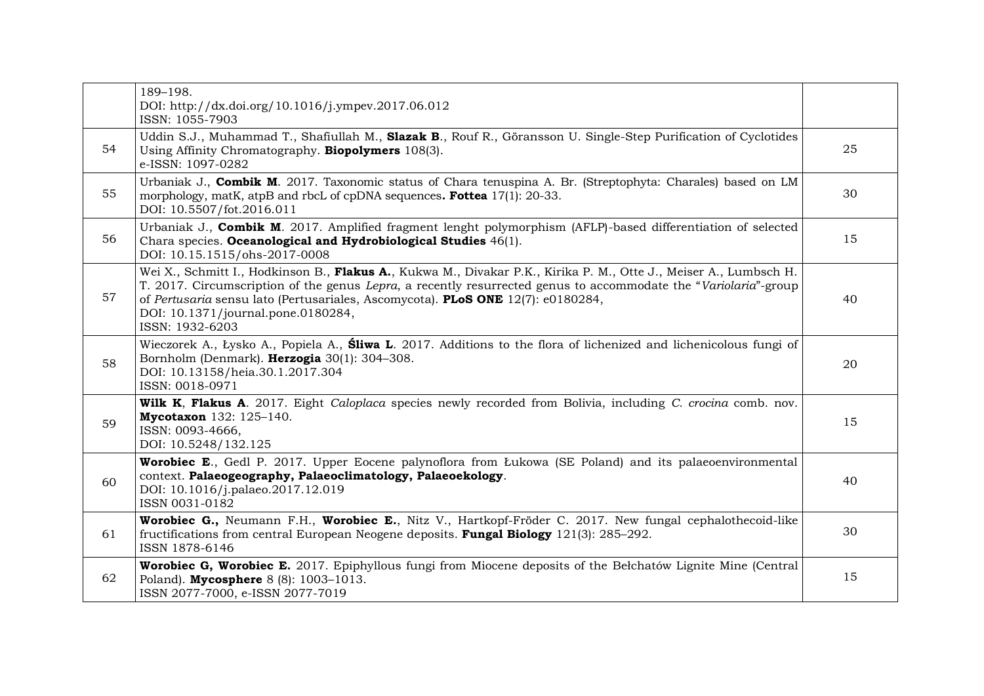|    | 189-198.<br>DOI: http://dx.doi.org/10.1016/j.ympev.2017.06.012<br>ISSN: 1055-7903                                                                                                                                                                                                                                                                                                        |    |
|----|------------------------------------------------------------------------------------------------------------------------------------------------------------------------------------------------------------------------------------------------------------------------------------------------------------------------------------------------------------------------------------------|----|
| 54 | Uddin S.J., Muhammad T., Shafiullah M., Slazak B., Rouf R., Göransson U. Single-Step Purification of Cyclotides<br>Using Affinity Chromatography. <b>Biopolymers</b> 108(3).<br>e-ISSN: 1097-0282                                                                                                                                                                                        | 25 |
| 55 | Urbaniak J., Combik M. 2017. Taxonomic status of Chara tenuspina A. Br. (Streptophyta: Charales) based on LM<br>morphology, matK, atpB and rbcL of cpDNA sequences. Fottea 17(1): 20-33.<br>DOI: 10.5507/fot.2016.011                                                                                                                                                                    | 30 |
| 56 | Urbaniak J., Combik M. 2017. Amplified fragment lenght polymorphism (AFLP)-based differentiation of selected<br>Chara species. Oceanological and Hydrobiological Studies 46(1).<br>DOI: 10.15.1515/ohs-2017-0008                                                                                                                                                                         | 15 |
| 57 | Wei X., Schmitt I., Hodkinson B., <b>Flakus A.</b> , Kukwa M., Divakar P.K., Kirika P. M., Otte J., Meiser A., Lumbsch H.<br>T. 2017. Circumscription of the genus Lepra, a recently resurrected genus to accommodate the "Variolaria"-group<br>of Pertusaria sensu lato (Pertusariales, Ascomycota). PLoS ONE 12(7): e0180284,<br>DOI: 10.1371/journal.pone.0180284,<br>ISSN: 1932-6203 | 40 |
| 58 | Wieczorek A., Łysko A., Popiela A., Śliwa L. 2017. Additions to the flora of lichenized and lichenicolous fungi of<br>Bornholm (Denmark). Herzogia 30(1): 304-308.<br>DOI: 10.13158/heia.30.1.2017.304<br>ISSN: 0018-0971                                                                                                                                                                | 20 |
| 59 | Wilk K, Flakus A. 2017. Eight Caloplaca species newly recorded from Bolivia, including C. crocina comb. nov.<br>Mycotaxon 132: 125-140.<br>ISSN: 0093-4666,<br>DOI: 10.5248/132.125                                                                                                                                                                                                      | 15 |
| 60 | <b>Worobiec E.</b> , Gedl P. 2017. Upper Eocene palynoflora from Łukowa (SE Poland) and its palaeoenvironmental<br>context. Palaeogeography, Palaeoclimatology, Palaeoekology.<br>DOI: 10.1016/j.palaeo.2017.12.019<br>ISSN 0031-0182                                                                                                                                                    | 40 |
| 61 | Worobiec G., Neumann F.H., Worobiec E., Nitz V., Hartkopf-Fröder C. 2017. New fungal cephalothecoid-like<br>fructifications from central European Neogene deposits. <b>Fungal Biology</b> $121(3)$ : 285–292.<br>ISSN 1878-6146                                                                                                                                                          | 30 |
| 62 | <b>Worobiec G, Worobiec E.</b> 2017. Epiphyllous fungi from Miocene deposits of the Belchatów Lignite Mine (Central<br>Poland). Mycosphere 8 (8): 1003-1013.<br>ISSN 2077-7000, e-ISSN 2077-7019                                                                                                                                                                                         | 15 |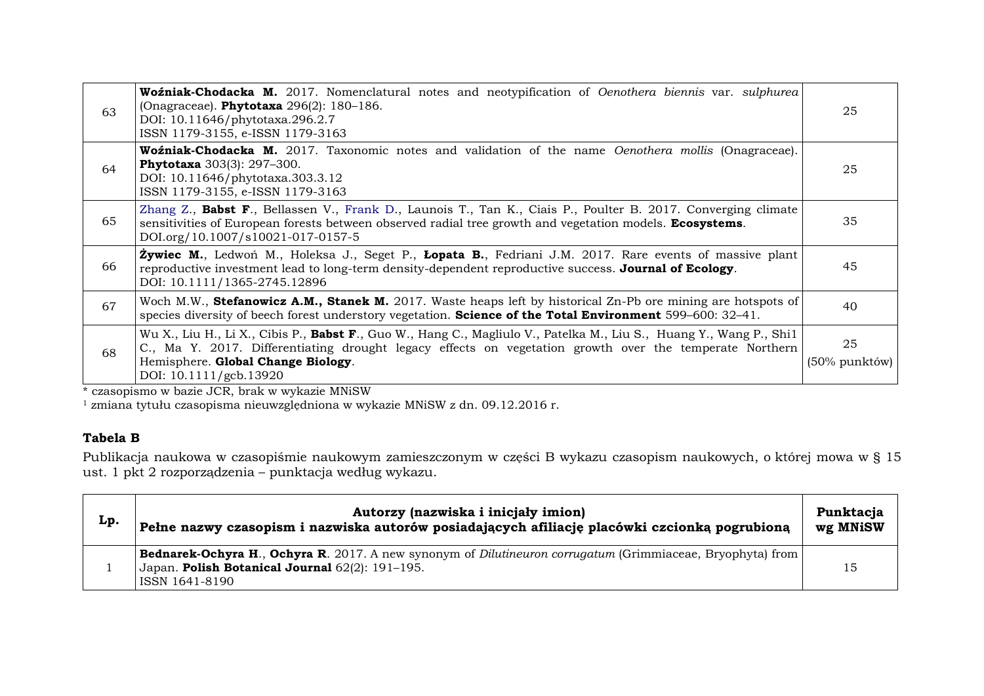| 63 | <b>Woźniak-Chodacka M.</b> 2017. Nomenclatural notes and neotypification of Oenothera biennis var. sulphurea<br>(Onagraceae). Phytotaxa 296(2): 180-186.<br>DOI: 10.11646/phytotaxa.296.2.7<br>ISSN 1179-3155, e-ISSN 1179-3163                                                                                                                | 25                  |
|----|------------------------------------------------------------------------------------------------------------------------------------------------------------------------------------------------------------------------------------------------------------------------------------------------------------------------------------------------|---------------------|
| 64 | <b>Woźniak-Chodacka M.</b> 2017. Taxonomic notes and validation of the name <i>Oenothera mollis</i> (Onagraceae).<br><b>Phytotaxa</b> 303(3): 297-300.<br>DOI: 10.11646/phytotaxa.303.3.12<br>ISSN 1179-3155, e-ISSN 1179-3163                                                                                                                 | 25                  |
| 65 | Zhang Z., Babst F., Bellassen V., Frank D., Launois T., Tan K., Ciais P., Poulter B. 2017. Converging climate<br>sensitivities of European forests between observed radial tree growth and vegetation models. <b>Ecosystems</b> .<br>DOI.org/10.1007/s10021-017-0157-5                                                                         | 35                  |
| 66 | <b>Żywiec M.</b> , Ledwoń M., Holeksa J., Seget P., Lopata B., Fedriani J.M. 2017. Rare events of massive plant<br>reproductive investment lead to long-term density-dependent reproductive success. Journal of Ecology.<br>DOI: 10.1111/1365-2745.12896                                                                                       | 45                  |
| 67 | Woch M.W., Stefanowicz A.M., Stanek M. 2017. Waste heaps left by historical Zn-Pb ore mining are hotspots of<br>species diversity of beech forest understory vegetation. Science of the Total Environment 599-600: 32-41.                                                                                                                      | 40                  |
| 68 | Wu X., Liu H., Li X., Cibis P., Babst F., Guo W., Hang C., Magliulo V., Patelka M., Liu S., Huang Y., Wang P., Shi1<br>C., Ma Y. 2017. Differentiating drought legacy effects on vegetation growth over the temperate Northern<br>Hemisphere. Global Change Biology.<br>DOI: 10.1111/gcb.13920<br>$1 \cdot 70D + 1$ $1 \cdot 1$ $1 \cdot 1011$ | 25<br>(50% punktów) |

\* czasopismo w bazie JCR, brak w wykazie MNiSW

 $1$  zmiana tytułu czasopisma nieuwzględniona w wykazie MNiSW z dn. 09.12.2016 r.

# **Tabela B**

Publikacja naukowa w czasopiśmie naukowym zamieszczonym w części B wykazu czasopism naukowych, o której mowa w § 15 ust. 1 pkt 2 rozporządzenia – punktacja według wykazu.

| $\mathbf{L}\mathbf{p}$ | Autorzy (nazwiska i inicjały imion)<br>Pełne nazwy czasopism i nazwiska autorów posiadających afiliację placówki czcionką pogrubioną                                                          | Punktacja<br>wg MNiSW |
|------------------------|-----------------------------------------------------------------------------------------------------------------------------------------------------------------------------------------------|-----------------------|
|                        | <b>Bednarek-Ochyra H., Ochyra R.</b> 2017. A new synonym of <i>Dilutineuron corrugatum</i> (Grimmiaceae, Bryophyta) from<br>Japan. Polish Botanical Journal 62(2): 191-195.<br>ISSN 1641-8190 | 15                    |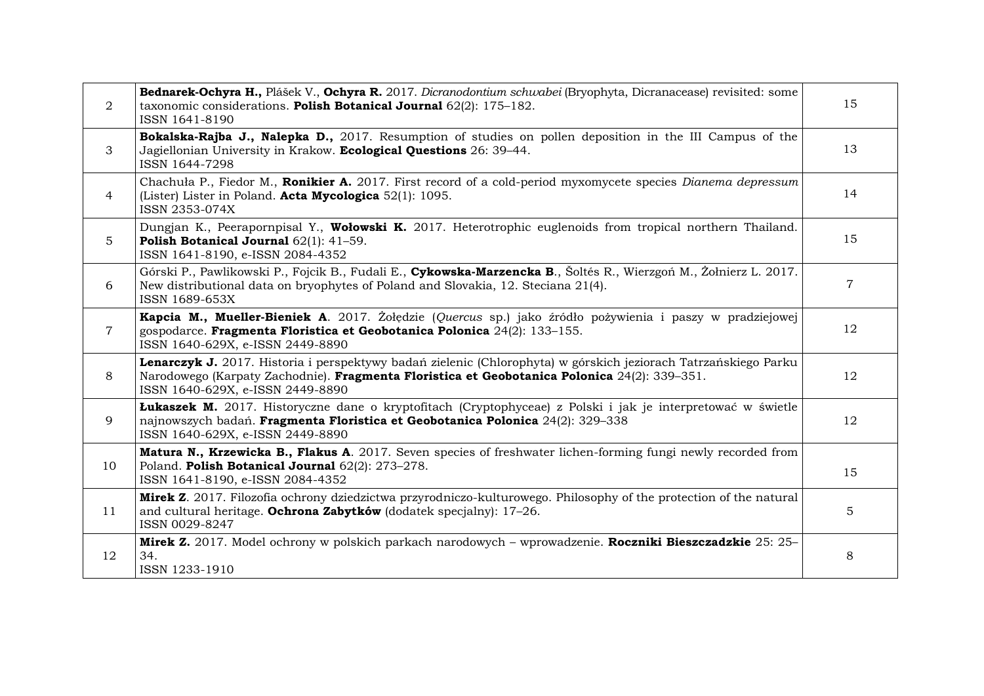| $\overline{2}$ | Bednarek-Ochyra H., Plášek V., Ochyra R. 2017. Dicranodontium schwabei (Bryophyta, Dicranacease) revisited: some<br>taxonomic considerations. Polish Botanical Journal 62(2): 175-182.<br>ISSN 1641-8190                                            | 15             |
|----------------|-----------------------------------------------------------------------------------------------------------------------------------------------------------------------------------------------------------------------------------------------------|----------------|
| 3              | Bokalska-Rajba J., Nalepka D., 2017. Resumption of studies on pollen deposition in the III Campus of the<br>Jagiellonian University in Krakow. Ecological Questions 26: 39-44.<br>ISSN 1644-7298                                                    | 13             |
| $\overline{4}$ | Chachula P., Fiedor M., Ronikier A. 2017. First record of a cold-period myxomycete species Dianema depressum<br>(Lister) Lister in Poland. Acta Mycologica 52(1): 1095.<br>ISSN 2353-074X                                                           | 14             |
| $5\phantom{.}$ | Dungjan K., Peerapornpisal Y., Wołowski K. 2017. Heterotrophic euglenoids from tropical northern Thailand.<br>Polish Botanical Journal 62(1): 41-59.<br>ISSN 1641-8190, e-ISSN 2084-4352                                                            | 15             |
| 6              | Górski P., Pawlikowski P., Fojcik B., Fudali E., Cykowska-Marzencka B., Šoltés R., Wierzgoń M., Żołnierz L. 2017.<br>New distributional data on bryophytes of Poland and Slovakia, 12. Steciana 21(4).<br>ISSN 1689-653X                            | $\overline{7}$ |
| $\overline{7}$ | Kapcia M., Mueller-Bieniek A. 2017. Żołędzie (Quercus sp.) jako źródło pożywienia i paszy w pradziejowej<br>gospodarce. Fragmenta Floristica et Geobotanica Polonica 24(2): 133-155.<br>ISSN 1640-629X, e-ISSN 2449-8890                            | 12             |
| 8              | Lenarczyk J. 2017. Historia i perspektywy badań zielenic (Chlorophyta) w górskich jeziorach Tatrzańskiego Parku<br>Narodowego (Karpaty Zachodnie). Fragmenta Floristica et Geobotanica Polonica 24(2): 339-351.<br>ISSN 1640-629X, e-ISSN 2449-8890 | 12             |
| 9              | Lukaszek M. 2017. Historyczne dane o kryptofitach (Cryptophyceae) z Polski i jak je interpretować w świetle<br>najnowszych badań. Fragmenta Floristica et Geobotanica Polonica 24(2): 329-338<br>ISSN 1640-629X, e-ISSN 2449-8890                   | 12             |
| 10             | Matura N., Krzewicka B., Flakus A. 2017. Seven species of freshwater lichen-forming fungi newly recorded from<br>Poland. Polish Botanical Journal 62(2): 273-278.<br>ISSN 1641-8190, e-ISSN 2084-4352                                               | 15             |
| 11             | Mirek Z. 2017. Filozofia ochrony dziedzictwa przyrodniczo-kulturowego. Philosophy of the protection of the natural<br>and cultural heritage. Ochrona Zabytków (dodatek specjalny): 17-26.<br>ISSN 0029-8247                                         | 5              |
| 12             | Mirek Z. 2017. Model ochrony w polskich parkach narodowych – wprowadzenie. Roczniki Bieszczadzkie 25: 25–<br>34.<br>ISSN 1233-1910                                                                                                                  | 8              |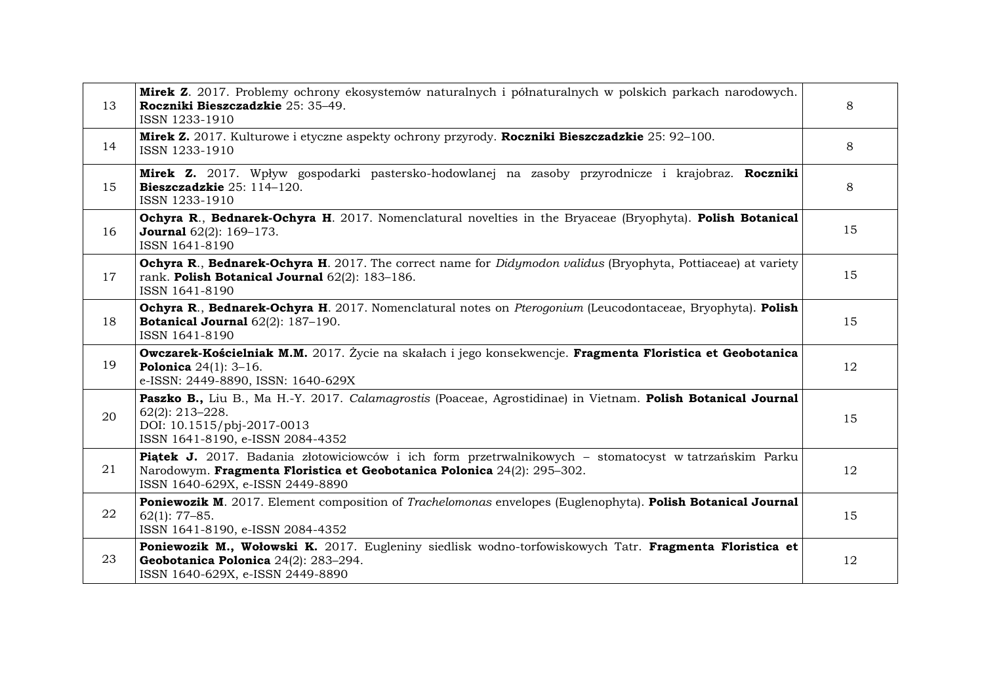| 13 | Mirek Z. 2017. Problemy ochrony ekosystemów naturalnych i półnaturalnych w polskich parkach narodowych.<br>Roczniki Bieszczadzkie 25: 35-49.<br>ISSN 1233-1910                                                       | 8  |
|----|----------------------------------------------------------------------------------------------------------------------------------------------------------------------------------------------------------------------|----|
| 14 | Mirek Z. 2017. Kulturowe i etyczne aspekty ochrony przyrody. Roczniki Bieszczadzkie 25: 92–100.<br>ISSN 1233-1910                                                                                                    | 8  |
| 15 | Mirek Z. 2017. Wpływ gospodarki pastersko-hodowlanej na zasoby przyrodnicze i krajobraz. Roczniki<br>Bieszczadzkie $25:114-120$ .<br>ISSN 1233-1910                                                                  | 8  |
| 16 | Ochyra R., Bednarek-Ochyra H. 2017. Nomenclatural novelties in the Bryaceae (Bryophyta). Polish Botanical<br><b>Journal</b> $62(2)$ : $169-173$ .<br>ISSN 1641-8190                                                  | 15 |
| 17 | Ochyra R., Bednarek-Ochyra H. 2017. The correct name for Didymodon validus (Bryophyta, Pottiaceae) at variety<br>rank. Polish Botanical Journal 62(2): 183-186.<br>ISSN 1641-8190                                    | 15 |
| 18 | Ochyra R., Bednarek-Ochyra H. 2017. Nomenclatural notes on Pterogonium (Leucodontaceae, Bryophyta). Polish<br><b>Botanical Journal</b> $62(2)$ : 187-190.<br>ISSN 1641-8190                                          | 15 |
| 19 | Owczarek-Kościelniak M.M. 2017. Życie na skałach i jego konsekwencje. Fragmenta Floristica et Geobotanica<br><b>Polonica</b> $24(1)$ : $3-16$ .<br>e-ISSN: 2449-8890, ISSN: 1640-629X                                | 12 |
| 20 | Paszko B., Liu B., Ma H.-Y. 2017. Calamagrostis (Poaceae, Agrostidinae) in Vietnam. Polish Botanical Journal<br>$62(2): 213 - 228.$<br>DOI: 10.1515/pbj-2017-0013<br>ISSN 1641-8190, e-ISSN 2084-4352                | 15 |
| 21 | Piątek J. 2017. Badania złotowiciowców i ich form przetrwalnikowych – stomatocyst w tatrzańskim Parku<br>Narodowym. Fragmenta Floristica et Geobotanica Polonica 24(2): 295-302.<br>ISSN 1640-629X, e-ISSN 2449-8890 | 12 |
| 22 | Poniewozik M. 2017. Element composition of Trachelomonas envelopes (Euglenophyta). Polish Botanical Journal<br>$62(1): 77-85.$<br>ISSN 1641-8190, e-ISSN 2084-4352                                                   | 15 |
| 23 | Poniewozik M., Wołowski K. 2017. Eugleniny siedlisk wodno-torfowiskowych Tatr. Fragmenta Floristica et<br>Geobotanica Polonica 24(2): 283-294.<br>ISSN 1640-629X, e-ISSN 2449-8890                                   | 12 |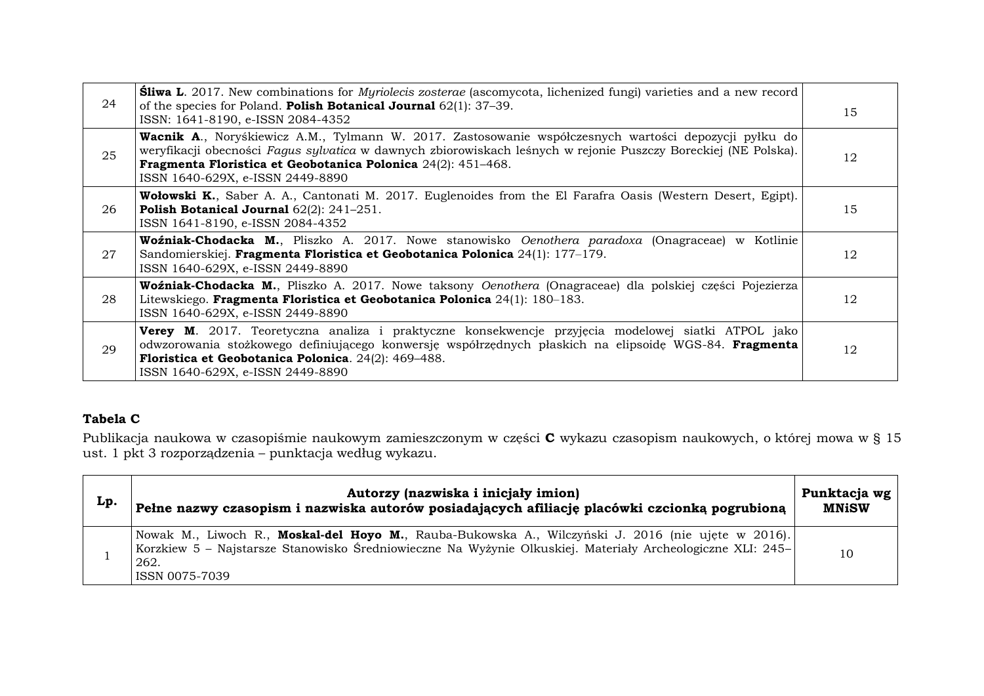| 24 | <b>Sliwa L.</b> 2017. New combinations for <i>Myriolecis zosterae</i> (ascomycota, lichenized fungi) varieties and a new record<br>of the species for Poland. Polish Botanical Journal $62(1)$ : 37-39.<br>ISSN: 1641-8190, e-ISSN 2084-4352                                                                                        | 15 |
|----|-------------------------------------------------------------------------------------------------------------------------------------------------------------------------------------------------------------------------------------------------------------------------------------------------------------------------------------|----|
| 25 | <b>Wacnik A.</b> , Noryśkiewicz A.M., Tylmann W. 2017. Zastosowanie współczesnych wartości depozycji pyłku do<br>weryfikacji obecności Fagus sylvatica w dawnych zbiorowiskach leśnych w rejonie Puszczy Boreckiej (NE Polska).<br>Fragmenta Floristica et Geobotanica Polonica 24(2): 451-468.<br>ISSN 1640-629X, e-ISSN 2449-8890 | 12 |
| 26 | <b>Wołowski K.</b> , Saber A. A., Cantonati M. 2017. Euglenoides from the El Farafra Oasis (Western Desert, Egipt).<br><b>Polish Botanical Journal</b> $62(2)$ : $241-251$ .<br>ISSN 1641-8190, e-ISSN 2084-4352                                                                                                                    | 15 |
| 27 | Woźniak-Chodacka M., Pliszko A. 2017. Nowe stanowisko Oenothera paradoxa (Onagraceae) w Kotlinie<br>Sandomierskiej. Fragmenta Floristica et Geobotanica Polonica 24(1): 177-179.<br>ISSN 1640-629X, e-ISSN 2449-8890                                                                                                                | 12 |
| 28 | Woźniak-Chodacka M., Pliszko A. 2017. Nowe taksony Oenothera (Onagraceae) dla polskiej części Pojezierza<br>Litewskiego. Fragmenta Floristica et Geobotanica Polonica 24(1): 180–183.<br>ISSN 1640-629X, e-ISSN 2449-8890                                                                                                           | 12 |
| 29 | <b>Verey M.</b> 2017. Teoretyczna analiza i praktyczne konsekwencje przyjęcia modelowej siatki ATPOL jako<br>odwzorowania stożkowego definiującego konwersję współrzędnych płaskich na elipsoidę WGS-84. Fragmenta<br>Floristica et Geobotanica Polonica. 24(2): 469-488.<br>ISSN 1640-629X, e-ISSN 2449-8890                       | 12 |

# **Tabela C**

Publikacja naukowa w czasopiśmie naukowym zamieszczonym w części **C** wykazu czasopism naukowych, o której mowa w § 15 ust. 1 pkt 3 rozporządzenia – punktacja według wykazu.

| Lp. | Autorzy (nazwiska i inicjały imion)<br>Pełne nazwy czasopism i nazwiska autorów posiadających afiliację placówki czcionką pogrubioną                                                                                                       | Punktacja wg<br><b>MNiSW</b> |
|-----|--------------------------------------------------------------------------------------------------------------------------------------------------------------------------------------------------------------------------------------------|------------------------------|
|     | Nowak M., Liwoch R., Moskal-del Hoyo M., Rauba-Bukowska A., Wilczyński J. 2016 (nie ujęte w 2016).<br>Korzkiew 5 – Najstarsze Stanowisko Średniowieczne Na Wyżynie Olkuskiej. Materiały Archeologiczne XLI: 245–<br>262.<br>ISSN 0075-7039 | 10                           |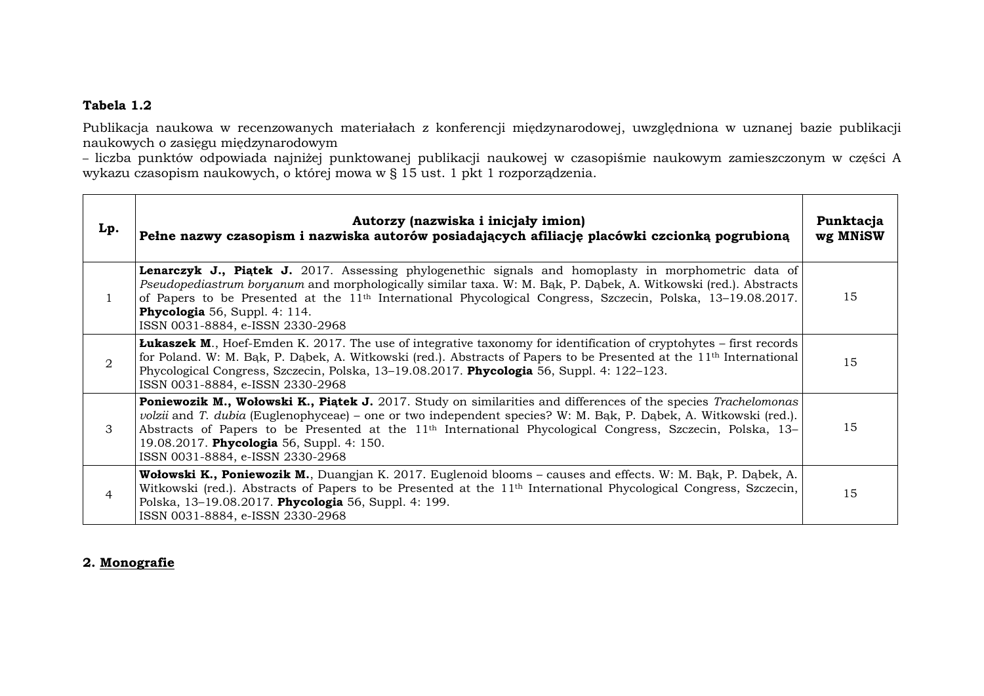### **Tabela 1.2**

Publikacja naukowa w recenzowanych materiałach z konferencji międzynarodowej, uwzględniona w uznanej bazie publikacji naukowych o zasięgu międzynarodowym

– liczba punktów odpowiada najniżej punktowanej publikacji naukowej w czasopiśmie naukowym zamieszczonym w części A wykazu czasopism naukowych, o której mowa w § 15 ust. 1 pkt 1 rozporządzenia.

| Lp.            | Autorzy (nazwiska i inicjały imion)<br>Pełne nazwy czasopism i nazwiska autorów posiadających afiliację placówki czcionką pogrubioną                                                                                                                                                                                                                                                                                                                 | Punktacja<br>wg MNiSW |
|----------------|------------------------------------------------------------------------------------------------------------------------------------------------------------------------------------------------------------------------------------------------------------------------------------------------------------------------------------------------------------------------------------------------------------------------------------------------------|-----------------------|
| 1              | Lenarczyk J., Piątek J. 2017. Assessing phylogenethic signals and homoplasty in morphometric data of<br>Pseudopediastrum boryanum and morphologically similar taxa. W: M. Bak, P. Dabek, A. Witkowski (red.). Abstracts<br>of Papers to be Presented at the 11 <sup>th</sup> International Phycological Congress, Szczecin, Polska, 13–19.08.2017.<br>Phycologia 56, Suppl. 4: 114.<br>ISSN 0031-8884, e-ISSN 2330-2968                              | 15                    |
| $\mathfrak{D}$ | <b>Lukaszek M.</b> , Hoef-Emden K. 2017. The use of integrative taxonomy for identification of cryptohytes – first records<br>for Poland. W: M. Bak, P. Dabek, A. Witkowski (red.). Abstracts of Papers to be Presented at the 11 <sup>th</sup> International<br>Phycological Congress, Szczecin, Polska, 13-19.08.2017. Phycologia 56, Suppl. 4: 122-123.<br>ISSN 0031-8884, e-ISSN 2330-2968                                                       | 15                    |
| 3              | <b>Poniewozik M., Wołowski K., Piątek J.</b> 2017. Study on similarities and differences of the species Trachelomonas<br>volzii and T. dubia (Euglenophyceae) - one or two independent species? W: M. Bąk, P. Dąbek, A. Witkowski (red.).<br>Abstracts of Papers to be Presented at the 11 <sup>th</sup> International Phycological Congress, Szczecin, Polska, 13–<br>19.08.2017. Phycologia 56, Suppl. 4: 150.<br>ISSN 0031-8884, e-ISSN 2330-2968 | 15                    |
| 4              | Wołowski K., Poniewozik M., Duangjan K. 2017. Euglenoid blooms – causes and effects. W: M. Bak, P. Dabek, A.<br>Witkowski (red.). Abstracts of Papers to be Presented at the 11 <sup>th</sup> International Phycological Congress, Szczecin,<br>Polska, 13-19.08.2017. Phycologia 56, Suppl. 4: 199.<br>ISSN 0031-8884, e-ISSN 2330-2968                                                                                                             | 15                    |

### **2. Monografie**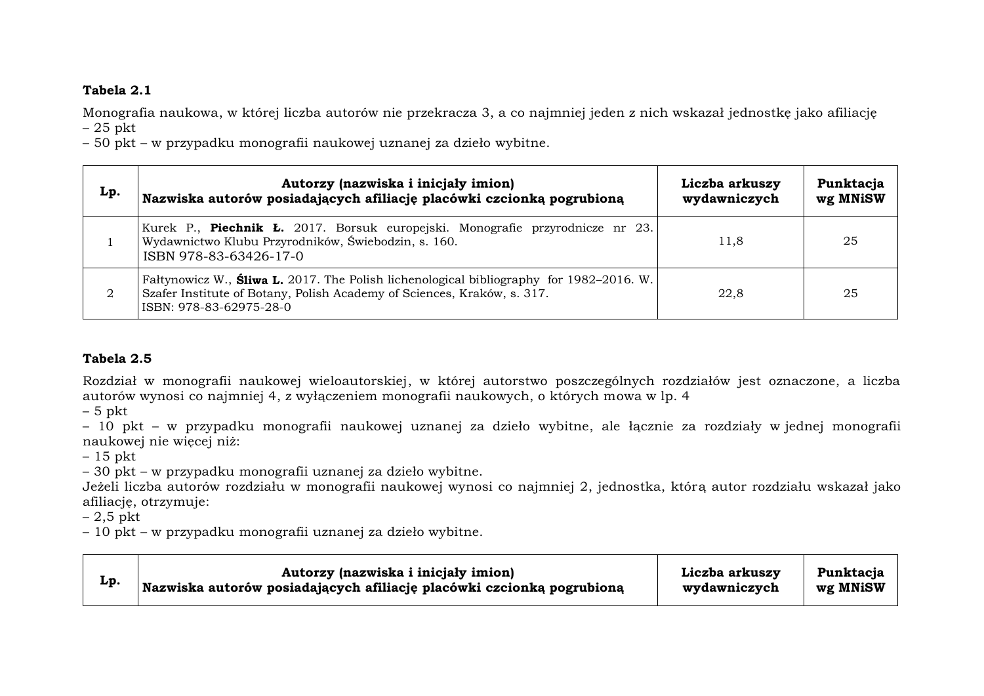### **Tabela 2.1**

Monografia naukowa, w której liczba autorów nie przekracza 3, a co najmniej jeden z nich wskazał jednostkę jako afiliację – 25 pkt

– 50 pkt – w przypadku monografii naukowej uznanej za dzieło wybitne.

| Lp. | Autorzy (nazwiska i inicjały imion)<br>Nazwiska autorów posiadających afiliację placówki czcionką pogrubioną                                                                                  | Liczba arkuszy<br>wydawniczych | Punktacja<br>wg MNiSW |
|-----|-----------------------------------------------------------------------------------------------------------------------------------------------------------------------------------------------|--------------------------------|-----------------------|
|     | Kurek P., <b>Piechnik Ł.</b> 2017. Borsuk europejski. Monografie przyrodnicze nr 23.<br>Wydawnictwo Klubu Przyrodników, Świebodzin, s. 160.<br>ISBN 978-83-63426-17-0                         | 11,8                           | 25                    |
| 2   | Faltynowicz W., Sliwa L. 2017. The Polish lichenological bibliography for 1982–2016. W.<br>Szafer Institute of Botany, Polish Academy of Sciences, Kraków, s. 317.<br>ISBN: 978-83-62975-28-0 | 22.8                           | 25                    |

# **Tabela 2.5**

Rozdział w monografii naukowej wieloautorskiej, w której autorstwo poszczególnych rozdziałów jest oznaczone, a liczba autorów wynosi co najmniej 4, z wyłączeniem monografii naukowych, o których mowa w lp. 4

 $-5$  pkt

– 10 pkt – w przypadku monografii naukowej uznanej za dzieło wybitne, ale łącznie za rozdziały w jednej monografii naukowej nie więcej niż:

– 15 pkt

– 30 pkt – w przypadku monografii uznanej za dzieło wybitne.

Jeżeli liczba autorów rozdziału w monografii naukowej wynosi co najmniej 2, jednostka, którą autor rozdziału wskazał jako afiliację, otrzymuje:

– 2,5 pkt

– 10 pkt – w przypadku monografii uznanej za dzieło wybitne.

| Lp. | Autorzy (nazwiska i inicjały imion)                                   | Liczba arkuszy | Punktacja |
|-----|-----------------------------------------------------------------------|----------------|-----------|
|     | Nazwiska autorów posiadających afiliację placówki czcionką pogrubioną | wydawniczych   | wg MNiSW  |
|     |                                                                       |                |           |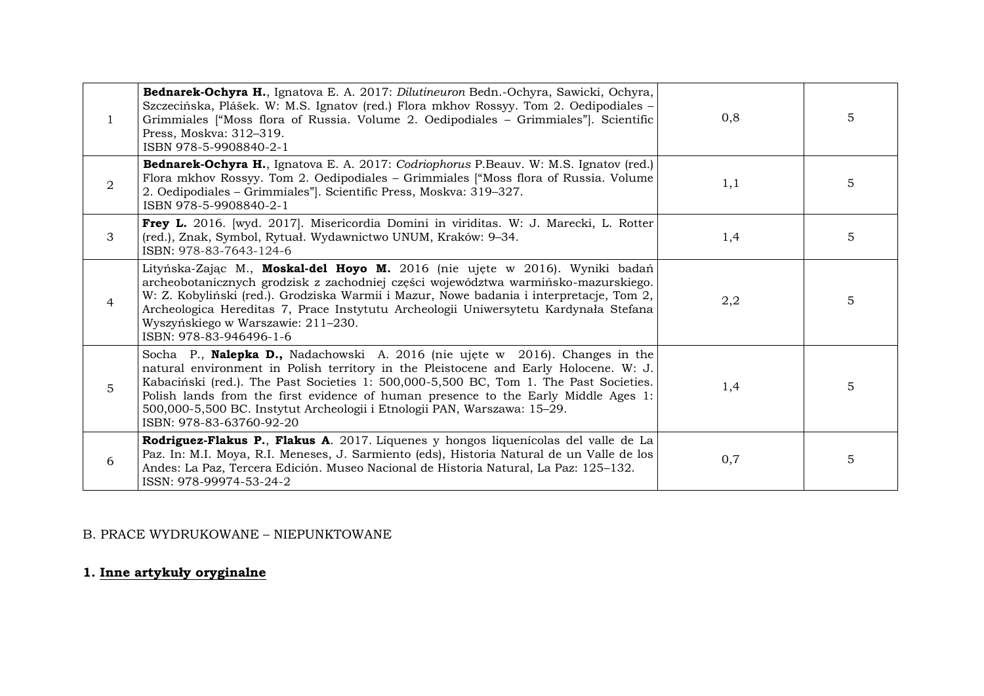| $\mathbf{1}$ | Bednarek-Ochyra H., Ignatova E. A. 2017: Dilutineuron Bedn.-Ochyra, Sawicki, Ochyra,<br>Szczecińska, Plášek. W: M.S. Ignatov (red.) Flora mkhov Rossyy. Tom 2. Oedipodiales –<br>Grimmiales ["Moss flora of Russia. Volume 2. Oedipodiales - Grimmiales"]. Scientific<br>Press, Moskva: 312-319.<br>ISBN 978-5-9908840-2-1                                                                                                                                  | 0,8 | 5              |
|--------------|-------------------------------------------------------------------------------------------------------------------------------------------------------------------------------------------------------------------------------------------------------------------------------------------------------------------------------------------------------------------------------------------------------------------------------------------------------------|-----|----------------|
| 2            | Bednarek-Ochyra H., Ignatova E. A. 2017: Codriophorus P.Beauv. W: M.S. Ignatov (red.)<br>Flora mkhov Rossyy. Tom 2. Oedipodiales - Grimmiales ["Moss flora of Russia. Volume<br>2. Oedipodiales - Grimmiales"]. Scientific Press, Moskva: 319-327.<br>ISBN 978-5-9908840-2-1                                                                                                                                                                                | 1,1 | 5              |
| 3            | Frey L. 2016. [wyd. 2017]. Misericordia Domini in viriditas. W: J. Marecki, L. Rotter<br>(red.), Znak, Symbol, Rytuał. Wydawnictwo UNUM, Kraków: 9-34.<br>ISBN: 978-83-7643-124-6                                                                                                                                                                                                                                                                           | 1,4 | 5              |
| 4            | Lityńska-Zając M., Moskal-del Hoyo M. 2016 (nie ujęte w 2016). Wyniki badań<br>archeobotanicznych grodzisk z zachodniej części województwa warmińsko-mazurskiego.<br>W: Z. Kobyliński (red.). Grodziska Warmii i Mazur, Nowe badania i interpretacje, Tom 2,<br>Archeologica Hereditas 7, Prace Instytutu Archeologii Uniwersytetu Kardynała Stefana<br>Wyszyńskiego w Warszawie: 211-230.<br>ISBN: 978-83-946496-1-6                                       | 2,2 | $\overline{5}$ |
| 5            | Socha P., Nalepka D., Nadachowski A. 2016 (nie ujęte w 2016). Changes in the<br>natural environment in Polish territory in the Pleistocene and Early Holocene. W: J.<br>Kabaciński (red.). The Past Societies 1: 500,000-5,500 BC, Tom 1. The Past Societies.<br>Polish lands from the first evidence of human presence to the Early Middle Ages 1:<br>500,000-5,500 BC. Instytut Archeologii i Etnologii PAN, Warszawa: 15-29.<br>ISBN: 978-83-63760-92-20 | 1,4 | 5              |
| 6            | Rodriguez-Flakus P., Flakus A. 2017. Líquenes y hongos liquenícolas del valle de La<br>Paz. In: M.I. Moya, R.I. Meneses, J. Sarmiento (eds), Historia Natural de un Valle de los<br>Andes: La Paz, Tercera Edición. Museo Nacional de Historia Natural, La Paz: 125-132.<br>ISSN: 978-99974-53-24-2                                                                                                                                                         | 0,7 | 5              |

# B. PRACE WYDRUKOWANE – NIEPUNKTOWANE

**1. Inne artykuły oryginalne**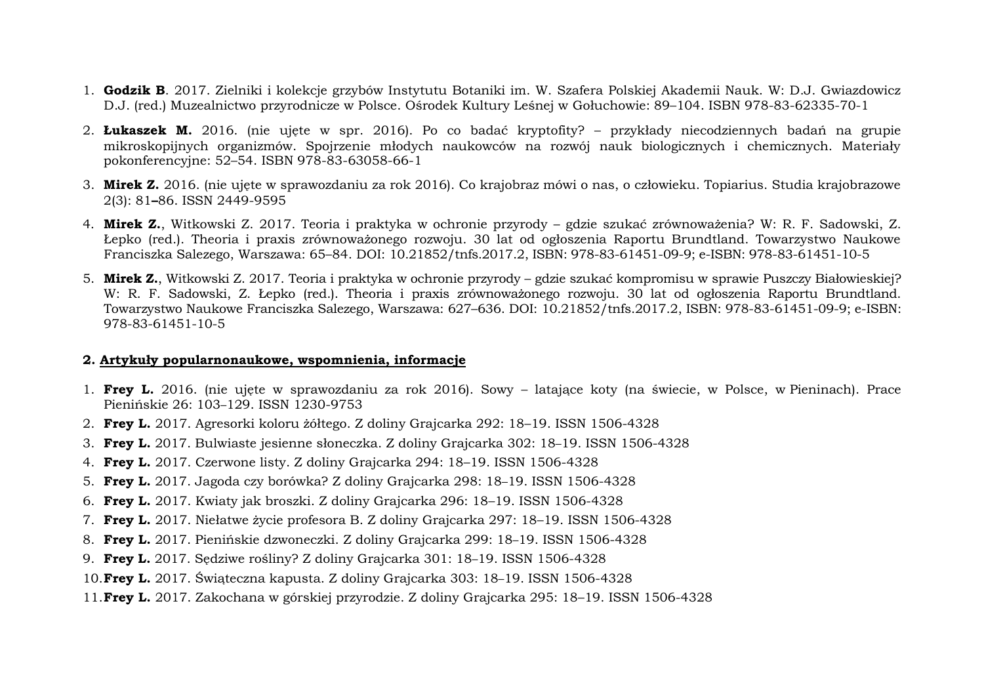- 1. **Godzik B**. 2017. Zielniki i kolekcje grzybów Instytutu Botaniki im. W. Szafera Polskiej Akademii Nauk. W: D.J. Gwiazdowicz D.J. (red.) Muzealnictwo przyrodnicze w Polsce. Ośrodek Kultury Leśnej w Gołuchowie: 89–104. ISBN 978-83-62335-70-1
- 2. **Łukaszek M.** 2016. (nie ujęte w spr. 2016). Po co badać kryptofity? przykłady niecodziennych badań na grupie mikroskopijnych organizmów. Spojrzenie młodych naukowców na rozwój nauk biologicznych i chemicznych. Materiały pokonferencyjne: 52–54. ISBN 978-83-63058-66-1
- 3. **Mirek Z.** 2016. (nie ujęte w sprawozdaniu za rok 2016). Co krajobraz mówi o nas, o człowieku. Topiarius. Studia krajobrazowe 2(3): 81**–**86. ISSN 2449-9595
- 4. **Mirek Z.**, Witkowski Z. 2017. Teoria i praktyka w ochronie przyrody gdzie szukać zrównoważenia? W: R. F. Sadowski, Z. Łepko (red.). Theoria i praxis zrównoważonego rozwoju. 30 lat od ogłoszenia Raportu Brundtland. Towarzystwo Naukowe Franciszka Salezego, Warszawa: 65–84. DOI: 10.21852/tnfs.2017.2, ISBN: 978-83-61451-09-9; e-ISBN: 978-83-61451-10-5
- 5. **Mirek Z.**, Witkowski Z. 2017. Teoria i praktyka w ochronie przyrody gdzie szukać kompromisu w sprawie Puszczy Białowieskiej? W: R. F. Sadowski, Z. Łepko (red.). Theoria i praxis zrównoważonego rozwoju. 30 lat od ogłoszenia Raportu Brundtland. Towarzystwo Naukowe Franciszka Salezego, Warszawa: 627–636. DOI: 10.21852/tnfs.2017.2, ISBN: 978-83-61451-09-9; e-ISBN: 978-83-61451-10-5

### **2. Artykuły popularnonaukowe, wspomnienia, informacje**

- 1. **Frey L.** 2016. (nie ujęte w sprawozdaniu za rok 2016). Sowy latające koty (na świecie, w Polsce, w Pieninach). Prace Pienińskie 26: 103–129. ISSN 1230-9753
- 2. **Frey L.** 2017. Agresorki koloru żółtego. Z doliny Grajcarka 292: 18–19. ISSN 1506-4328
- 3. **Frey L.** 2017. Bulwiaste jesienne słoneczka. Z doliny Grajcarka 302: 18–19. ISSN 1506-4328
- 4. **Frey L.** 2017. Czerwone listy. Z doliny Grajcarka 294: 18–19. ISSN 1506-4328
- 5. **Frey L.** 2017. Jagoda czy borówka? Z doliny Grajcarka 298: 18–19. ISSN 1506-4328
- 6. **Frey L.** 2017. Kwiaty jak broszki. Z doliny Grajcarka 296: 18–19. ISSN 1506-4328
- 7. **Frey L.** 2017. Niełatwe życie profesora B. Z doliny Grajcarka 297: 18–19. ISSN 1506-4328
- 8. **Frey L.** 2017. Pienińskie dzwoneczki. Z doliny Grajcarka 299: 18–19. ISSN 1506-4328
- 9. **Frey L.** 2017. Sędziwe rośliny? Z doliny Grajcarka 301: 18–19. ISSN 1506-4328
- 10.**Frey L.** 2017. Świąteczna kapusta. Z doliny Grajcarka 303: 18–19. ISSN 1506-4328
- 11.**Frey L.** 2017. Zakochana w górskiej przyrodzie. Z doliny Grajcarka 295: 18–19. ISSN 1506-4328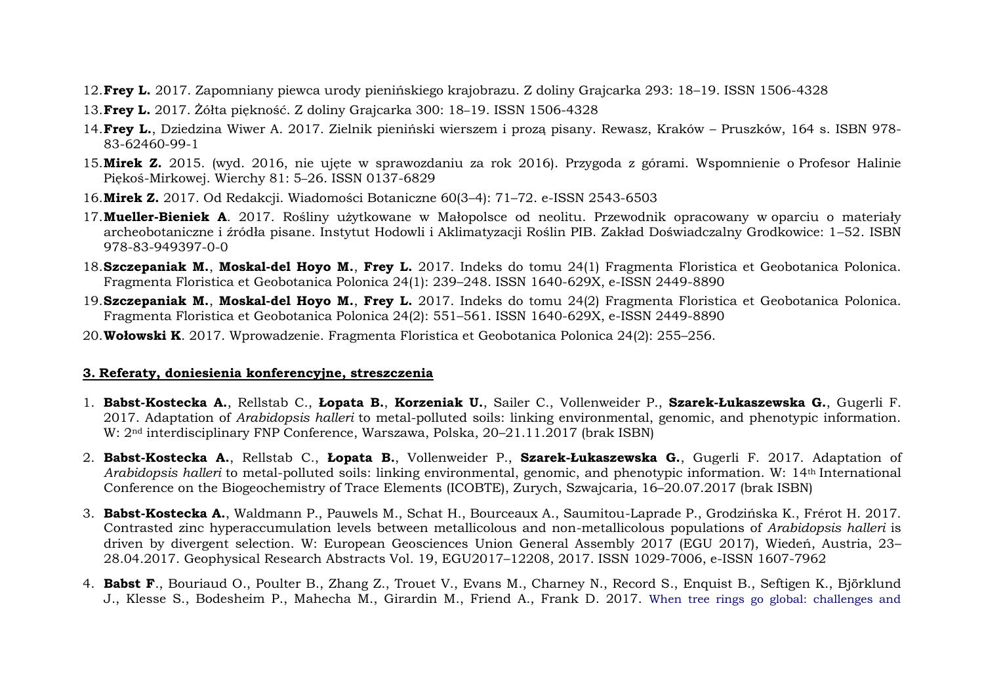- 12.**Frey L.** 2017. Zapomniany piewca urody pienińskiego krajobrazu. Z doliny Grajcarka 293: 18–19. ISSN 1506-4328
- 13.**Frey L.** 2017. Żółta piękność. Z doliny Grajcarka 300: 18–19. ISSN 1506-4328
- 14.**Frey L.**, Dziedzina Wiwer A. 2017. Zielnik pieniński wierszem i prozą pisany. Rewasz, Kraków Pruszków, 164 s. ISBN 978- 83-62460-99-1
- 15.**Mirek Z.** 2015. (wyd. 2016, nie ujęte w sprawozdaniu za rok 2016). Przygoda z górami. Wspomnienie o Profesor Halinie Piękoś-Mirkowej. Wierchy 81: 5–26. ISSN 0137-6829
- 16.**Mirek Z.** 2017. Od Redakcji. Wiadomości Botaniczne 60(3–4): 71–72. e-ISSN 2543-6503
- 17.**Mueller-Bieniek A**. 2017. Rośliny użytkowane w Małopolsce od neolitu. Przewodnik opracowany w oparciu o materiały archeobotaniczne i źródła pisane. Instytut Hodowli i Aklimatyzacji Roślin PIB. Zakład Doświadczalny Grodkowice: 1–52. ISBN 978-83-949397-0-0
- 18.**Szczepaniak M.**, **Moskal-del Hoyo M.**, **Frey L.** 2017. Indeks do tomu 24(1) Fragmenta Floristica et Geobotanica Polonica. Fragmenta Floristica et Geobotanica Polonica 24(1): 239–248. ISSN 1640-629X, e-ISSN 2449-8890
- 19.**Szczepaniak M.**, **Moskal-del Hoyo M.**, **Frey L.** 2017. Indeks do tomu 24(2) Fragmenta Floristica et Geobotanica Polonica. Fragmenta Floristica et Geobotanica Polonica 24(2): 551–561. ISSN 1640-629X, e-ISSN 2449-8890
- 20.**Wołowski K**. 2017. Wprowadzenie. Fragmenta Floristica et Geobotanica Polonica 24(2): 255–256.

### **3. Referaty, doniesienia konferencyjne, streszczenia**

- 1. **Babst-Kostecka A.**, Rellstab C., **Łopata B.**, **Korzeniak U.**, Sailer C., Vollenweider P., **Szarek-Łukaszewska G.**, Gugerli F. 2017. Adaptation of *Arabidopsis halleri* to metal-polluted soils: linking environmental, genomic, and phenotypic information. W: 2nd interdisciplinary FNP Conference, Warszawa, Polska, 20–21.11.2017 (brak ISBN)
- 2. **Babst-Kostecka A.**, Rellstab C., **Łopata B.**, Vollenweider P., **Szarek-Łukaszewska G.**, Gugerli F. 2017. Adaptation of *Arabidopsis halleri* to metal-polluted soils: linking environmental, genomic, and phenotypic information. W: 14th International Conference on the Biogeochemistry of Trace Elements (ICOBTE), Zurych, Szwajcaria, 16–20.07.2017 (brak ISBN)
- 3. **Babst-Kostecka A.**, Waldmann P., Pauwels M., Schat H., Bourceaux A., Saumitou-Laprade P., Grodzińska K., Frérot H. 2017. Contrasted zinc hyperaccumulation levels between metallicolous and non-metallicolous populations of *Arabidopsis halleri* is driven by divergent selection. W: European Geosciences Union General Assembly 2017 (EGU 2017), Wiedeń, Austria, 23– 28.04.2017. Geophysical Research Abstracts Vol. 19, EGU2017–12208, 2017. ISSN 1029-7006, e-ISSN 1607-7962
- 4. **Babst F**., Bouriaud O., Poulter B., Zhang Z., Trouet V., Evans M., Charney N., Record S., Enquist B., Seftigen K., Björklund J., Klesse S., Bodesheim P., Mahecha M., Girardin M., Friend A., Frank D. 2017. [When tree rings go global: challenges and](https://scholar.google.pl/scholar?oi=bibs&cluster=6150325801478624891&btnI=1&hl=pl)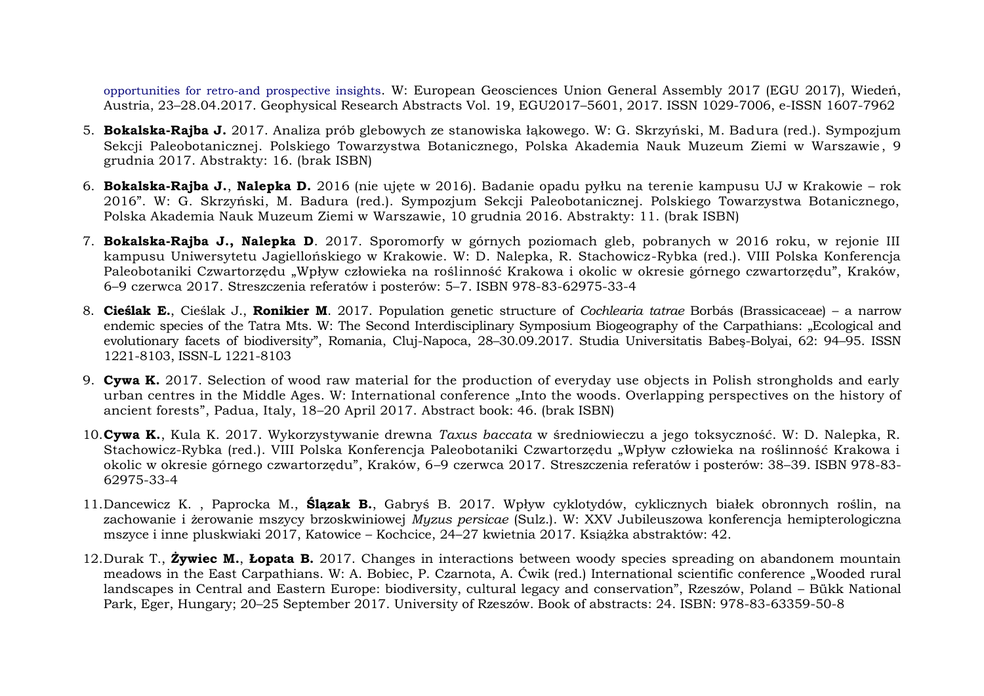[opportunities for retro-and prospective insights](https://scholar.google.pl/scholar?oi=bibs&cluster=6150325801478624891&btnI=1&hl=pl). W: European Geosciences Union General Assembly 2017 (EGU 2017), Wiedeń, Austria, 23–28.04.2017. Geophysical Research Abstracts Vol. 19, EGU2017–5601, 2017. ISSN 1029-7006, e-ISSN 1607-7962

- 5. **Bokalska-Rajba J.** 2017. Analiza prób glebowych ze stanowiska łąkowego. W: G. Skrzyński, M. Badura (red.). Sympozjum Sekcji Paleobotanicznej. Polskiego Towarzystwa Botanicznego, Polska Akademia Nauk Muzeum Ziemi w Warszawie , 9 grudnia 2017. Abstrakty: 16. (brak ISBN)
- 6. **Bokalska-Rajba J.**, **Nalepka D.** 2016 (nie ujęte w 2016). Badanie opadu pyłku na terenie kampusu UJ w Krakowie rok 2016". W: G. Skrzyński, M. Badura (red.). Sympozjum Sekcji Paleobotanicznej. Polskiego Towarzystwa Botanicznego, Polska Akademia Nauk Muzeum Ziemi w Warszawie, 10 grudnia 2016. Abstrakty: 11. (brak ISBN)
- 7. **Bokalska-Rajba J., Nalepka D**. 2017. Sporomorfy w górnych poziomach gleb, pobranych w 2016 roku, w rejonie III kampusu Uniwersytetu Jagiellońskiego w Krakowie. W: D. Nalepka, R. Stachowicz-Rybka (red.). VIII Polska Konferencja Paleobotaniki Czwartorzędu "Wpływ człowieka na roślinność Krakowa i okolic w okresie górnego czwartorzędu", Kraków, 6–9 czerwca 2017. Streszczenia referatów i posterów: 5–7. ISBN 978-83-62975-33-4
- 8. **Cieślak E.**, Cieślak J., **Ronikier M**. 2017. Population genetic structure of *Cochlearia tatrae* Borbás (Brassicaceae) a narrow endemic species of the Tatra Mts. W: The Second Interdisciplinary Symposium Biogeography of the Carpathians: "Ecological and evolutionary facets of biodiversity", Romania, Cluj-Napoca, 28–30.09.2017. Studia Universitatis Babeş-Bolyai, 62: 94–95. ISSN 1221-8103, ISSN-L 1221-8103
- 9. **Cywa K.** 2017. Selection of wood raw material for the production of everyday use objects in Polish strongholds and early urban centres in the Middle Ages. W: International conference "Into the woods. Overlapping perspectives on the history of ancient forests", Padua, Italy, 18–20 April 2017. Abstract book: 46. (brak ISBN)
- 10.**Cywa K.**, Kula K. 2017. Wykorzystywanie drewna *Taxus baccata* w średniowieczu a jego toksyczność. W: D. Nalepka, R. Stachowicz-Rybka (red.). VIII Polska Konferencja Paleobotaniki Czwartorzędu "Wpływ człowieka na roślinność Krakowa i okolic w okresie górnego czwartorzędu", Kraków, 6–9 czerwca 2017. Streszczenia referatów i posterów: 38–39. ISBN 978-83- 62975-33-4
- 11.Dancewicz K. , Paprocka M., **Ślązak B.**, Gabryś B. 2017. Wpływ cyklotydów, cyklicznych białek obronnych roślin, na zachowanie i żerowanie mszycy brzoskwiniowej *Myzus persicae* (Sulz.). W: XXV Jubileuszowa konferencja hemipterologiczna mszyce i inne pluskwiaki 2017, Katowice – Kochcice, 24–27 kwietnia 2017. Książka abstraktów: 42.
- 12.Durak T., **Żywiec M.**, **Łopata B.** 2017. Changes in interactions between woody species spreading on abandonem mountain meadows in the East Carpathians. W: A. Bobiec, P. Czarnota, A. Ćwik (red.) International scientific conference "Wooded rural landscapes in Central and Eastern Europe: biodiversity, cultural legacy and conservation", Rzeszów, Poland – Bükk National Park, Eger, Hungary; 20–25 September 2017. University of Rzeszów. Book of abstracts: 24. ISBN: 978-83-63359-50-8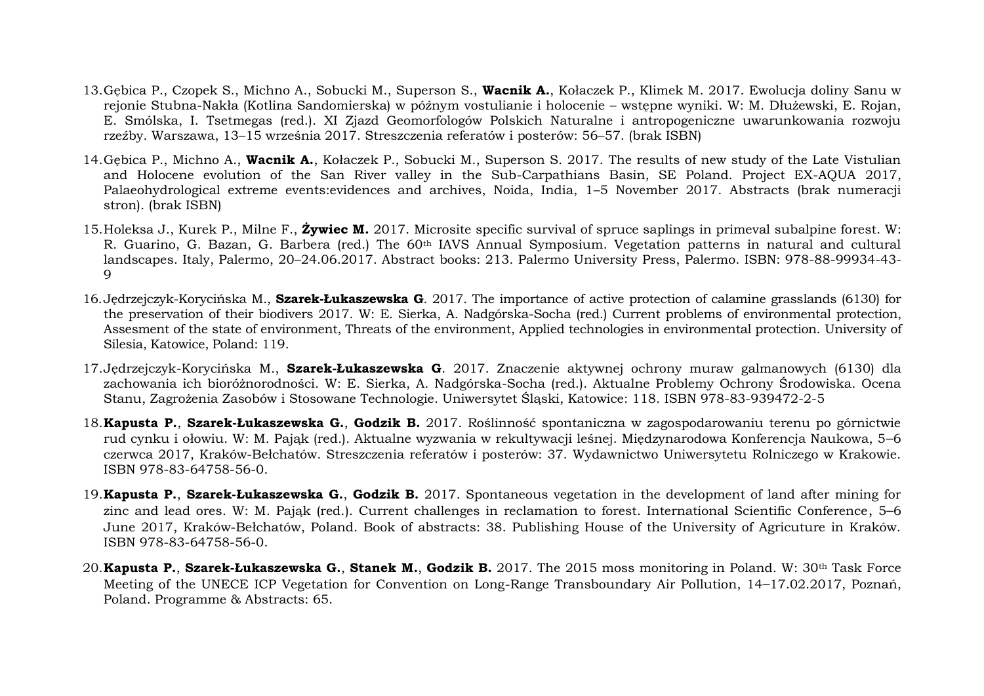- 13.Gębica P., Czopek S., Michno A., Sobucki M., Superson S., **Wacnik A.**, Kołaczek P., Klimek M. 2017. Ewolucja doliny Sanu w rejonie Stubna-Nakła (Kotlina Sandomierska) w późnym vostulianie i holocenie – wstępne wyniki. W: M. Dłużewski, E. Rojan, E. Smólska, I. Tsetmegas (red.). XI Zjazd Geomorfologów Polskich Naturalne i antropogeniczne uwarunkowania rozwoju rzeźby. Warszawa, 13–15 września 2017. Streszczenia referatów i posterów: 56–57. (brak ISBN)
- 14.Gębica P., Michno A., **Wacnik A.**, Kołaczek P., Sobucki M., Superson S. 2017. The results of new study of the Late Vistulian and Holocene evolution of the San River valley in the Sub-Carpathians Basin, SE Poland. Project EX-AQUA 2017, Palaeohydrological extreme events:evidences and archives, Noida, India, 1–5 November 2017. Abstracts (brak numeracji stron). (brak ISBN)
- 15.Holeksa J., Kurek P., Milne F., **Żywiec M.** 2017. Microsite specific survival of spruce saplings in primeval subalpine forest. W: R. Guarino, G. Bazan, G. Barbera (red.) The 60th IAVS Annual Symposium. Vegetation patterns in natural and cultural landscapes. Italy, Palermo, 20–24.06.2017. Abstract books: 213. Palermo University Press, Palermo. ISBN: 978-88-99934-43- 9
- 16.Jędrzejczyk-Korycińska M., **Szarek-Łukaszewska G**. 2017. The importance of active protection of calamine grasslands (6130) for the preservation of their biodivers 2017. W: E. Sierka, A. Nadgórska-Socha (red.) Current problems of environmental protection, Assesment of the state of environment, Threats of the environment, Applied technologies in environmental protection. University of Silesia, Katowice, Poland: 119.
- 17.Jędrzejczyk-Korycińska M., **Szarek-Łukaszewska G**. 2017. Znaczenie aktywnej ochrony muraw galmanowych (6130) dla zachowania ich bioróżnorodności. W: E. Sierka, A. Nadgórska-Socha (red.). Aktualne Problemy Ochrony Środowiska. Ocena Stanu, Zagrożenia Zasobów i Stosowane Technologie. Uniwersytet Śląski, Katowice: 118. ISBN 978-83-939472-2-5
- 18.**Kapusta P.**, **Szarek-Łukaszewska G.**, **Godzik B.** 2017. Roślinność spontaniczna w zagospodarowaniu terenu po górnictwie rud cynku i ołowiu. W: M. Pająk (red.). Aktualne wyzwania w rekultywacji leśnej. Międzynarodowa Konferencja Naukowa, 5–6 czerwca 2017, Kraków-Bełchatów. Streszczenia referatów i posterów: 37. Wydawnictwo Uniwersytetu Rolniczego w Krakowie. ISBN 978-83-64758-56-0.
- 19.**Kapusta P.**, **Szarek-Łukaszewska G.**, **Godzik B.** 2017. Spontaneous vegetation in the development of land after mining for zinc and lead ores. W: M. Pająk (red.). Current challenges in reclamation to forest. International Scientific Conference, 5–6 June 2017, Kraków-Bełchatów, Poland. Book of abstracts: 38. Publishing House of the University of Agricuture in Kraków. ISBN 978-83-64758-56-0.
- 20.**Kapusta P.**, **Szarek-Łukaszewska G.**, **Stanek M.**, **Godzik B.** 2017. The 2015 moss monitoring in Poland. W: 30th Task Force Meeting of the UNECE ICP Vegetation for Convention on Long-Range Transboundary Air Pollution, 14–17.02.2017, Poznań, Poland. Programme & Abstracts: 65.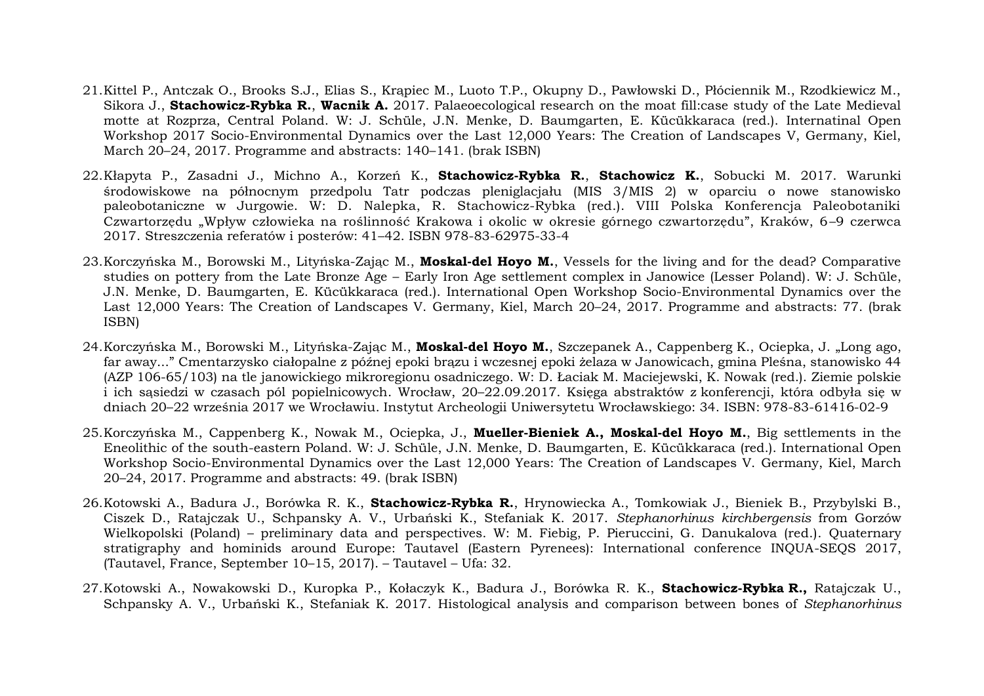- 21.Kittel P., Antczak O., Brooks S.J., Elias S., Krąpiec M., Luoto T.P., Okupny D., Pawłowski D., Płóciennik M., Rzodkiewicz M., Sikora J., **Stachowicz-Rybka R.**, **Wacnik A.** 2017. Palaeoecological research on the moat fill:case study of the Late Medieval motte at Rozprza, Central Poland. W: J. Schüle, J.N. Menke, D. Baumgarten, E. Kücükkaraca (red.). Internatinal Open Workshop 2017 Socio-Environmental Dynamics over the Last 12,000 Years: The Creation of Landscapes V, Germany, Kiel, March 20–24, 2017. Programme and abstracts: 140–141. (brak ISBN)
- 22.Kłapyta P., Zasadni J., Michno A., Korzeń K., **Stachowicz-Rybka R.**, **Stachowicz K.**, Sobucki M. 2017. Warunki środowiskowe na północnym przedpolu Tatr podczas pleniglacjału (MIS 3/MIS 2) w oparciu o nowe stanowisko paleobotaniczne w Jurgowie. W: D. Nalepka, R. Stachowicz-Rybka (red.). VIII Polska Konferencja Paleobotaniki Czwartorzędu "Wpływ człowieka na roślinność Krakowa i okolic w okresie górnego czwartorzedu", Kraków, 6-9 czerwca 2017. Streszczenia referatów i posterów: 41–42. ISBN 978-83-62975-33-4
- 23.Korczyńska M., Borowski M., Lityńska-Zając M., **Moskal-del Hoyo M.**, Vessels for the living and for the dead? Comparative studies on pottery from the Late Bronze Age – Early Iron Age settlement complex in Janowice (Lesser Poland). W: J. Schüle, J.N. Menke, D. Baumgarten, E. Kücükkaraca (red.). International Open Workshop Socio-Environmental Dynamics over the Last 12,000 Years: The Creation of Landscapes V. Germany, Kiel, March 20–24, 2017. Programme and abstracts: 77. (brak ISBN)
- 24.Korczyńska M., Borowski M., Lityńska-Zając M., **Moskal-del Hoyo M.**, Szczepanek A., Cappenberg K., Ociepka, J. "Long ago, far away..." Cmentarzysko ciałopalne z późnej epoki brązu i wczesnej epoki żelaza w Janowicach, gmina Pleśna, stanowisko 44 (AZP 106-65/103) na tle janowickiego mikroregionu osadniczego. W: D. Łaciak M. Maciejewski, K. Nowak (red.). Ziemie polskie i ich sąsiedzi w czasach pól popielnicowych. Wrocław, 20–22.09.2017. Księga abstraktów z konferencji, która odbyła się w dniach 20–22 września 2017 we Wrocławiu. Instytut Archeologii Uniwersytetu Wrocławskiego: 34. ISBN: 978-83-61416-02-9
- 25.Korczyńska M., Cappenberg K., Nowak M., Ociepka, J., **Mueller-Bieniek A., Moskal-del Hoyo M.**, Big settlements in the Eneolithic of the south-eastern Poland. W: J. Schüle, J.N. Menke, D. Baumgarten, E. Kücükkaraca (red.). International Open Workshop Socio-Environmental Dynamics over the Last 12,000 Years: The Creation of Landscapes V. Germany, Kiel, March 20–24, 2017. Programme and abstracts: 49. (brak ISBN)
- 26.Kotowski A., Badura J., Borówka R. K., **Stachowicz-Rybka R.**, Hrynowiecka A., Tomkowiak J., Bieniek B., Przybylski B., Ciszek D., Ratajczak U., Schpansky A. V., Urbański K., Stefaniak K. 2017. *Stephanorhinus kirchbergensis* from Gorzów Wielkopolski (Poland) – preliminary data and perspectives. W: M. Fiebig, P. Pieruccini, G. Danukalova (red.). Quaternary stratigraphy and hominids around Europe: Tautavel (Eastern Pyrenees): International conference INQUA-SEQS 2017, (Tautavel, France, September 10–15, 2017). – Tautavel – Ufa: 32.
- 27.Kotowski A., Nowakowski D., Kuropka P., Kołaczyk K., Badura J., Borówka R. K., **Stachowicz-Rybka R.,** Ratajczak U., Schpansky A. V., Urbański K., Stefaniak K. 2017. Histological analysis and comparison between bones of *Stephanorhinus*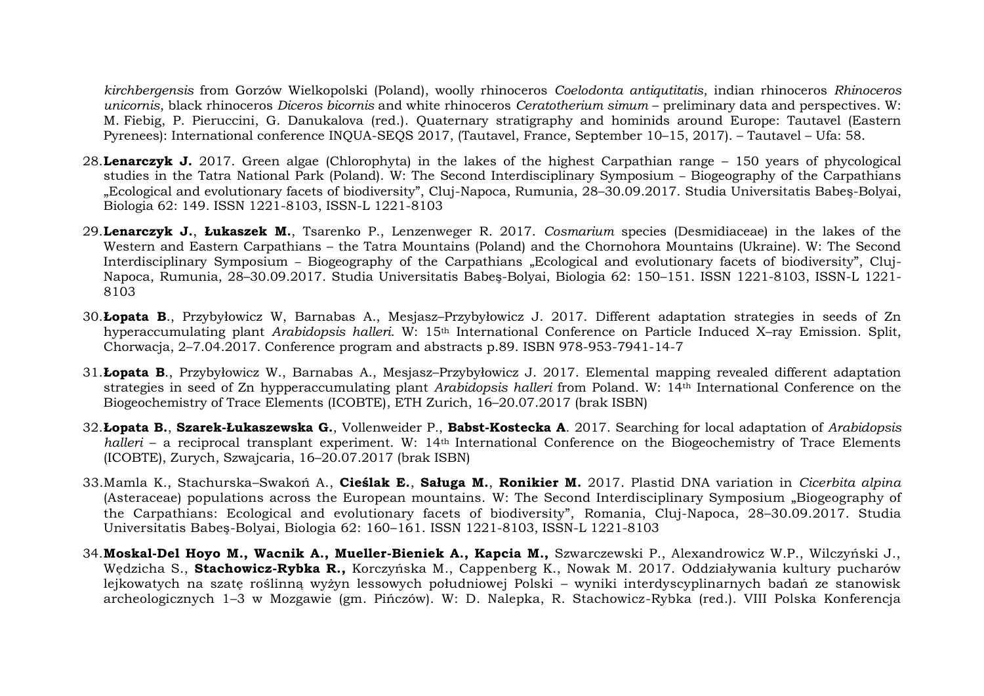*kirchbergensis* from Gorzów Wielkopolski (Poland), woolly rhinoceros *Coelodonta antiqutitatis*, indian rhinoceros *Rhinoceros unicornis*, black rhinoceros *Diceros bicornis* and white rhinoceros *Ceratotherium simum* – preliminary data and perspectives. W: M. Fiebig, P. Pieruccini, G. Danukalova (red.). Quaternary stratigraphy and hominids around Europe: Tautavel (Eastern Pyrenees): International conference INQUA-SEQS 2017, (Tautavel, France, September 10–15, 2017). – Tautavel – Ufa: 58.

- 28.**Lenarczyk J.** 2017. Green algae (Chlorophyta) in the lakes of the highest Carpathian range 150 years of phycological studies in the Tatra National Park (Poland). W: The Second Interdisciplinary Symposium – Biogeography of the Carpathians "Ecological and evolutionary facets of biodiversity", Cluj-Napoca, Rumunia, 28–30.09.2017. Studia Universitatis Babeş-Bolyai, Biologia 62: 149. ISSN 1221-8103, ISSN-L 1221-8103
- 29.**Lenarczyk J.**, **Łukaszek M.**, Tsarenko P., Lenzenweger R. 2017. *Cosmarium* species (Desmidiaceae) in the lakes of the Western and Eastern Carpathians – the Tatra Mountains (Poland) and the Chornohora Mountains (Ukraine). W: The Second Interdisciplinary Symposium – Biogeography of the Carpathians "Ecological and evolutionary facets of biodiversity", Cluj-Napoca, Rumunia, 28–30.09.2017. Studia Universitatis Babeş-Bolyai, Biologia 62: 150–151. ISSN 1221-8103, ISSN-L 1221- 8103
- 30.**Łopata B**., Przybyłowicz W, Barnabas A., Mesjasz–Przybyłowicz J. 2017. Different adaptation strategies in seeds of Zn hyperaccumulating plant *Arabidopsis halleri*. W: 15th International Conference on Particle Induced X–ray Emission. Split, Chorwacja, 2–7.04.2017. Conference program and abstracts p.89. ISBN 978-953-7941-14-7
- 31.**Łopata B**., Przybyłowicz W., Barnabas A., Mesjasz–Przybyłowicz J. 2017. Elemental mapping revealed different adaptation strategies in seed of Zn hypperaccumulating plant *Arabidopsis halleri* from Poland. W: 14th International Conference on the Biogeochemistry of Trace Elements (ICOBTE), ETH Zurich, 16–20.07.2017 (brak ISBN)
- 32.**Łopata B.**, **Szarek-Łukaszewska G.**, Vollenweider P., **Babst-Kostecka A**. 2017. Searching for local adaptation of *Arabidopsis halleri* – a reciprocal transplant experiment. W: 14th International Conference on the Biogeochemistry of Trace Elements (ICOBTE), Zurych, Szwajcaria, 16–20.07.2017 (brak ISBN)
- 33.Mamla K., Stachurska–Swakoń A., **Cieślak E.**, **Saługa M.**, **Ronikier M.** 2017. Plastid DNA variation in *Cicerbita alpina* (Asteraceae) populations across the European mountains. W: The Second Interdisciplinary Symposium ..Biogeography of the Carpathians: Ecological and evolutionary facets of biodiversity", Romania, Cluj-Napoca, 28–30.09.2017. Studia Universitatis Babeş-Bolyai, Biologia 62: 160–161. ISSN 1221-8103, ISSN-L 1221-8103
- 34.**Moskal-Del Hoyo M., Wacnik A., Mueller-Bieniek A., Kapcia M.,** Szwarczewski P., Alexandrowicz W.P., Wilczyński J., Wędzicha S., **Stachowicz-Rybka R.,** Korczyńska M., Cappenberg K., Nowak M. 2017. Oddziaływania kultury pucharów lejkowatych na szatę roślinną wyżyn lessowych południowej Polski – wyniki interdyscyplinarnych badań ze stanowisk archeologicznych 1–3 w Mozgawie (gm. Pińczów). W: D. Nalepka, R. Stachowicz-Rybka (red.). VIII Polska Konferencja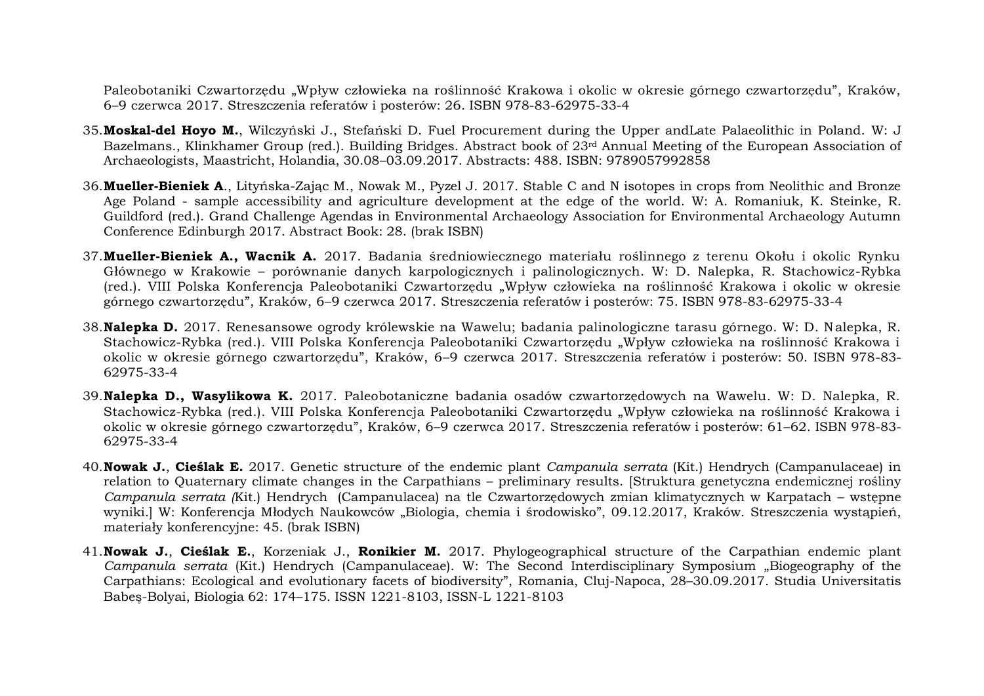Paleobotaniki Czwartorzędu "Wpływ człowieka na roślinność Krakowa i okolic w okresie górnego czwartorzędu", Kraków, 6–9 czerwca 2017. Streszczenia referatów i posterów: 26. ISBN 978-83-62975-33-4

- 35.**Moskal-del Hoyo M.**, Wilczyński J., Stefański D. Fuel Procurement during the Upper andLate Palaeolithic in Poland. W: J Bazelmans., Klinkhamer Group (red.). Building Bridges. Abstract book of 23rd Annual Meeting of the European Association of Archaeologists, Maastricht, Holandia, 30.08–03.09.2017. Abstracts: 488. ISBN: 9789057992858
- 36.**Mueller-Bieniek A**., Lityńska-Zając M., Nowak M., Pyzel J. 2017. Stable C and N isotopes in crops from Neolithic and Bronze Age Poland - sample accessibility and agriculture development at the edge of the world. W: A. Romaniuk, K. Steinke, R. Guildford (red.). Grand Challenge Agendas in Environmental Archaeology Association for Environmental Archaeology Autumn Conference Edinburgh 2017. Abstract Book: 28. (brak ISBN)
- 37.**Mueller-Bieniek A., Wacnik A.** 2017. Badania średniowiecznego materiału roślinnego z terenu Okołu i okolic Rynku Głównego w Krakowie – porównanie danych karpologicznych i palinologicznych. W: D. Nalepka, R. Stachowicz-Rybka (red.). VIII Polska Konferencja Paleobotaniki Czwartorzędu "Wpływ człowieka na roślinność Krakowa i okolic w okresie górnego czwartorzędu", Kraków, 6–9 czerwca 2017. Streszczenia referatów i posterów: 75. ISBN 978-83-62975-33-4
- 38.**Nalepka D.** 2017. Renesansowe ogrody królewskie na Wawelu; badania palinologiczne tarasu górnego. W: D. Nalepka, R. Stachowicz-Rybka (red.). VIII Polska Konferencja Paleobotaniki Czwartorzędu "Wpływ człowieka na roślinność Krakowa i okolic w okresie górnego czwartorzędu", Kraków, 6–9 czerwca 2017. Streszczenia referatów i posterów: 50. ISBN 978-83- 62975-33-4
- 39.**Nalepka D., Wasylikowa K.** 2017. Paleobotaniczne badania osadów czwartorzędowych na Wawelu. W: D. Nalepka, R. Stachowicz-Rybka (red.). VIII Polska Konferencja Paleobotaniki Czwartorzędu "Wpływ człowieka na roślinność Krakowa i okolic w okresie górnego czwartorzędu", Kraków, 6–9 czerwca 2017. Streszczenia referatów i posterów: 61–62. ISBN 978-83- 62975-33-4
- 40.**Nowak J.**, **Cieślak E.** 2017. Genetic structure of the endemic plant *Campanula serrata* (Kit.) Hendrych (Campanulaceae) in relation to Quaternary climate changes in the Carpathians – preliminary results. [Struktura genetyczna endemicznej rośliny *Campanula serrata (*Kit.) Hendrych (Campanulacea) na tle Czwartorzędowych zmian klimatycznych w Karpatach – wstępne wyniki.] W: Konferencja Młodych Naukowców "Biologia, chemia i środowisko", 09.12.2017, Kraków. Streszczenia wystąpień, materiały konferencyjne: 45. (brak ISBN)
- 41.**Nowak J.**, **Cieślak E.**, Korzeniak J., **Ronikier M.** 2017. Phylogeographical structure of the Carpathian endemic plant *Campanula serrata* (Kit.) Hendrych (Campanulaceae). W: The Second Interdisciplinary Symposium "Biogeography of the Carpathians: Ecological and evolutionary facets of biodiversity", Romania, Cluj-Napoca, 28–30.09.2017. Studia Universitatis Babeş-Bolyai, Biologia 62: 174–175. ISSN 1221-8103, ISSN-L 1221-8103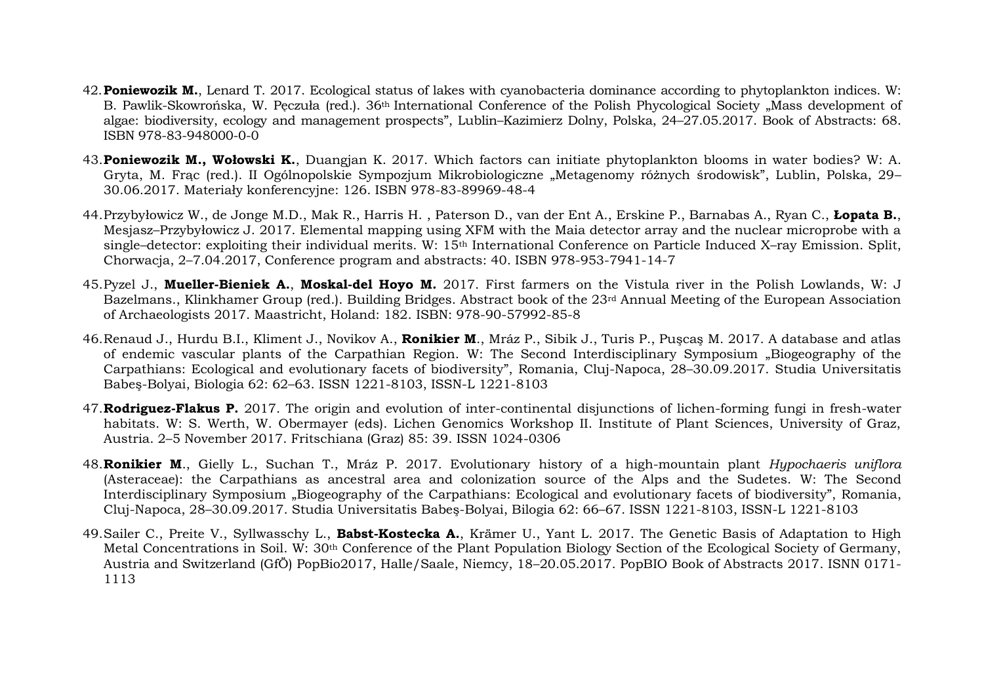- 42.**Poniewozik M.**, Lenard T. 2017. Ecological status of lakes with cyanobacteria dominance according to phytoplankton indices. W: B. Pawlik-Skowrońska, W. Peczuła (red.). 36<sup>th</sup> International Conference of the Polish Phycological Society "Mass development of algae: biodiversity, ecology and management prospects", Lublin–Kazimierz Dolny, Polska, 24–27.05.2017. Book of Abstracts: 68. ISBN 978-83-948000-0-0
- 43.**Poniewozik M., Wołowski K.**, Duangjan K. 2017. Which factors can initiate phytoplankton blooms in water bodies? W: A. Gryta, M. Frąc (red.). II Ogólnopolskie Sympozjum Mikrobiologiczne "Metagenomy różnych środowisk", Lublin, Polska, 29– 30.06.2017. Materiały konferencyjne: 126. ISBN 978-83-89969-48-4
- 44.Przybyłowicz W., de Jonge M.D., Mak R., Harris H. , Paterson D., van der Ent A., Erskine P., Barnabas A., Ryan C., **Łopata B.**, Mesjasz–Przybyłowicz J. 2017. Elemental mapping using XFM with the Maia detector array and the nuclear microprobe with a single–detector: exploiting their individual merits. W: 15th International Conference on Particle Induced X–ray Emission. Split, Chorwacja, 2–7.04.2017, Conference program and abstracts: 40. ISBN 978-953-7941-14-7
- 45.Pyzel J., **Mueller-Bieniek A.**, **Moskal-del Hoyo M.** 2017. First farmers on the Vistula river in the Polish Lowlands, W: J Bazelmans., Klinkhamer Group (red.). Building Bridges. Abstract book of the 23rd Annual Meeting of the European Association of Archaeologists 2017. Maastricht, Holand: 182. ISBN: 978-90-57992-85-8
- 46.Renaud J., Hurdu B.I., Kliment J., Novikov A., **Ronikier M**., Mráz P., Sibik J., Turis P., Puşcaş M. 2017. A database and atlas of endemic vascular plants of the Carpathian Region. W: The Second Interdisciplinary Symposium "Biogeography of the Carpathians: Ecological and evolutionary facets of biodiversity", Romania, Cluj-Napoca, 28–30.09.2017. Studia Universitatis Babeş-Bolyai, Biologia 62: 62–63. ISSN 1221-8103, ISSN-L 1221-8103
- 47.**Rodriguez-Flakus P.** 2017. The origin and evolution of inter-continental disjunctions of lichen-forming fungi in fresh-water habitats. W: S. Werth, W. Obermayer (eds). Lichen Genomics Workshop II. Institute of Plant Sciences, University of Graz, Austria. 2–5 November 2017. Fritschiana (Graz) 85: 39. ISSN 1024-0306
- 48.**Ronikier M**., Gielly L., Suchan T., Mráz P. 2017. Evolutionary history of a high-mountain plant *Hypochaeris uniflora* (Asteraceae): the Carpathians as ancestral area and colonization source of the Alps and the Sudetes. W: The Second Interdisciplinary Symposium "Biogeography of the Carpathians: Ecological and evolutionary facets of biodiversity", Romania, Cluj-Napoca, 28–30.09.2017. Studia Universitatis Babeş-Bolyai, Bilogia 62: 66–67. ISSN 1221-8103, ISSN-L 1221-8103
- 49.Sailer C., Preite V., Syllwasschy L., **Babst-Kostecka A.**, Krämer U., Yant L. 2017. The Genetic Basis of Adaptation to High Metal Concentrations in Soil. W: 30th Conference of the Plant Population Biology Section of the Ecological Society of Germany, Austria and Switzerland (GfÖ) PopBio2017, Halle/Saale, Niemcy, 18–20.05.2017. PopBIO Book of Abstracts 2017. ISNN 0171- 1113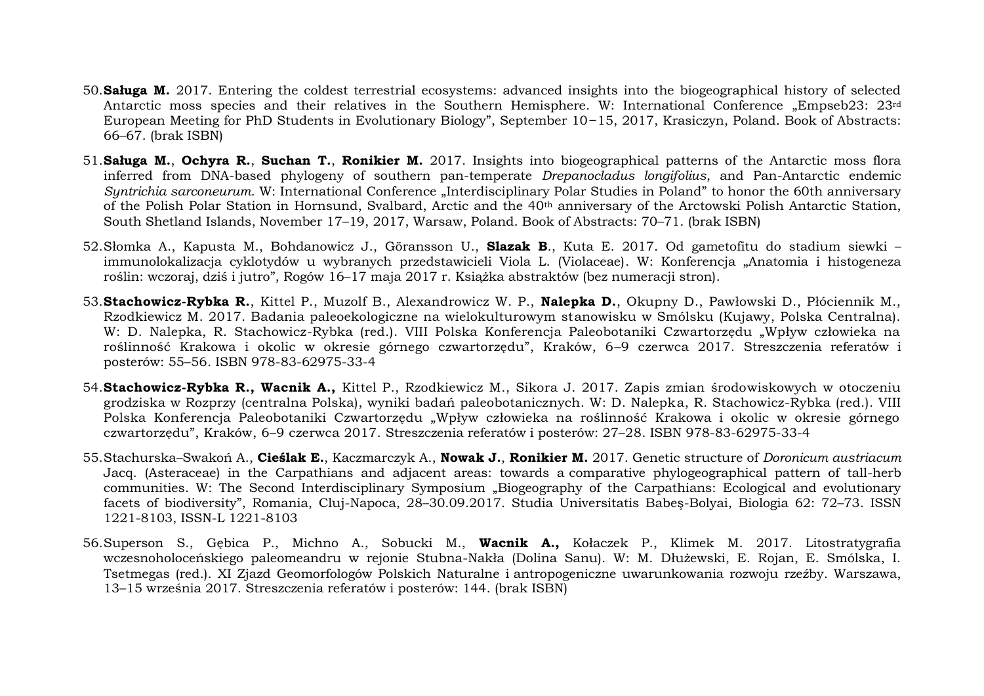- 50.**Saługa M.** 2017. Entering the coldest terrestrial ecosystems: advanced insights into the biogeographical history of selected Antarctic moss species and their relatives in the Southern Hemisphere. W: International Conference "Empseb23: 23<sup>rd</sup> European Meeting for PhD Students in Evolutionary Biology", September 10 15, 2017, Krasiczyn, Poland. Book of Abstracts: 66–67. (brak ISBN)
- 51.**Saługa M.**, **Ochyra R.**, **Suchan T.**, **Ronikier M.** 2017. Insights into biogeographical patterns of the Antarctic moss flora inferred from DNA-based phylogeny of southern pan-temperate *Drepanocladus longifolius*, and Pan-Antarctic endemic *Syntrichia sarconeurum.* W: International Conference "Interdisciplinary Polar Studies in Poland" to honor the 60th anniversary of the Polish Polar Station in Hornsund, Svalbard, Arctic and the 40th anniversary of the Arctowski Polish Antarctic Station, South Shetland Islands, November 17–19, 2017, Warsaw, Poland. Book of Abstracts: 70–71. (brak ISBN)
- 52.Słomka A., Kapusta M., Bohdanowicz J., Göransson U., **Slazak B**., Kuta E. 2017. Od gametofitu do stadium siewki immunolokalizacja cyklotydów u wybranych przedstawicieli Viola L. (Violaceae). W: Konferencja "Anatomia i histogeneza roślin: wczoraj, dziś i jutro", Rogów 16–17 maja 2017 r. Książka abstraktów (bez numeracji stron).
- 53.**Stachowicz-Rybka R.**, Kittel P., Muzolf B., Alexandrowicz W. P., **Nalepka D.**, Okupny D., Pawłowski D., Płóciennik M., Rzodkiewicz M. 2017. Badania paleoekologiczne na wielokulturowym stanowisku w Smólsku (Kujawy, Polska Centralna). W: D. Nalepka, R. Stachowicz-Rybka (red.). VIII Polska Konferencja Paleobotaniki Czwartorzędu "Wpływ człowieka na roślinność Krakowa i okolic w okresie górnego czwartorzędu", Kraków, 6–9 czerwca 2017. Streszczenia referatów i posterów: 55–56. ISBN 978-83-62975-33-4
- 54.**Stachowicz-Rybka R., Wacnik A.,** Kittel P., Rzodkiewicz M., Sikora J. 2017. Zapis zmian środowiskowych w otoczeniu grodziska w Rozprzy (centralna Polska), wyniki badań paleobotanicznych. W: D. Nalepka, R. Stachowicz-Rybka (red.). VIII Polska Konferencja Paleobotaniki Czwartorzędu "Wpływ człowieka na roślinność Krakowa i okolic w okresie górnego czwartorzędu", Kraków, 6–9 czerwca 2017. Streszczenia referatów i posterów: 27–28. ISBN 978-83-62975-33-4
- 55.Stachurska–Swakoń A., **Cieślak E.**, Kaczmarczyk A., **Nowak J.**, **Ronikier M.** 2017. Genetic structure of *Doronicum austriacum* Jacq. (Asteraceae) in the Carpathians and adjacent areas: towards a comparative phylogeographical pattern of tall-herb communities. W: The Second Interdisciplinary Symposium "Biogeography of the Carpathians: Ecological and evolutionary facets of biodiversity", Romania, Cluj-Napoca, 28–30.09.2017. Studia Universitatis Babeş-Bolyai, Biologia 62: 72–73. ISSN 1221-8103, ISSN-L 1221-8103
- 56.Superson S., Gębica P., Michno A., Sobucki M., **Wacnik A.,** Kołaczek P., Klimek M. 2017. Litostratygrafia wczesnoholoceńskiego paleomeandru w rejonie Stubna-Nakła (Dolina Sanu). W: M. Dłużewski, E. Rojan, E. Smólska, I. Tsetmegas (red.). XI Zjazd Geomorfologów Polskich Naturalne i antropogeniczne uwarunkowania rozwoju rzeźby. Warszawa, 13–15 września 2017. Streszczenia referatów i posterów: 144. (brak ISBN)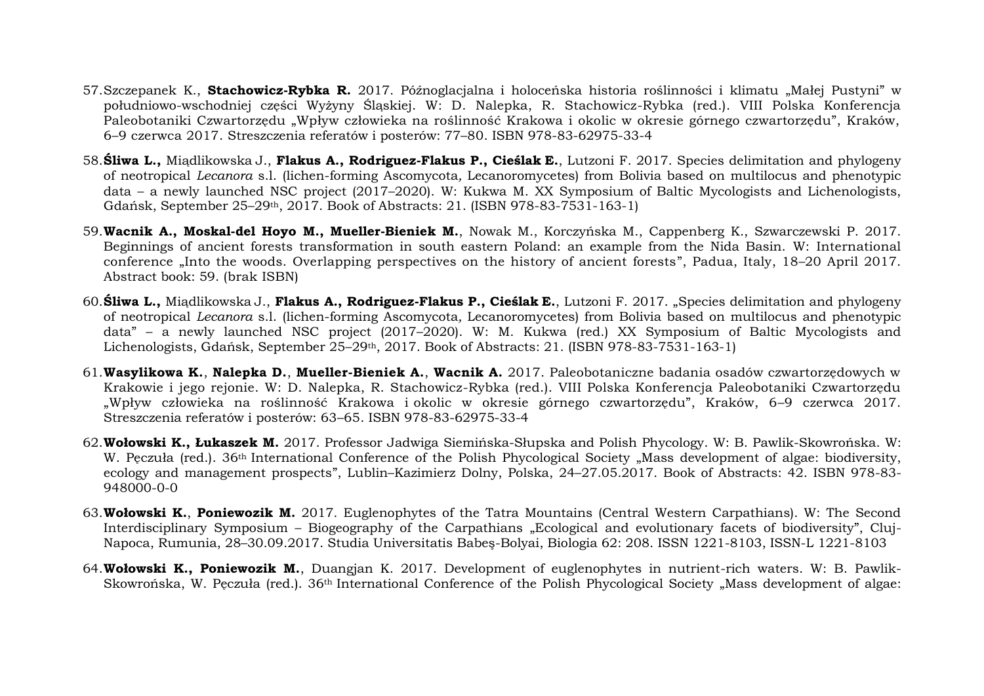- 57.Szczepanek K., **Stachowicz-Rybka R.** 2017. Późnoglacjalna i holoceńska historia roślinności i klimatu "Małej Pustyni" w południowo-wschodniej części Wyżyny Śląskiej. W: D. Nalepka, R. Stachowicz-Rybka (red.). VIII Polska Konferencja Paleobotaniki Czwartorzędu "Wpływ człowieka na roślinność Krakowa i okolic w okresie górnego czwartorzędu", Kraków, 6–9 czerwca 2017. Streszczenia referatów i posterów: 77–80. ISBN 978-83-62975-33-4
- 58.**Śliwa L.,** Miądlikowska J., **Flakus A., Rodriguez-Flakus P., Cieślak E.**, Lutzoni F. 2017. Species delimitation and phylogeny of neotropical *Lecanora* s.l. (lichen-forming Ascomycota*,* Lecanoromycetes) from Bolivia based on multilocus and phenotypic data – a newly launched NSC project (2017–2020). W: Kukwa M. XX Symposium of Baltic Mycologists and Lichenologists, Gdańsk, September 25–29th, 2017. Book of Abstracts: 21. (ISBN 978-83-7531-163-1)
- 59.**Wacnik A., Moskal-del Hoyo M., Mueller-Bieniek M.**, Nowak M., Korczyńska M., Cappenberg K., Szwarczewski P. 2017. Beginnings of ancient forests transformation in south eastern Poland: an example from the Nida Basin. W: International conference "Into the woods. Overlapping perspectives on the history of ancient forests", Padua, Italy, 18–20 April 2017. Abstract book: 59. (brak ISBN)
- 60.**Śliwa L.,** Miądlikowska J., **Flakus A., Rodriguez-Flakus P., Cieślak E.**, Lutzoni F. 2017. "Species delimitation and phylogeny of neotropical *Lecanora* s.l. (lichen-forming Ascomycota*,* Lecanoromycetes) from Bolivia based on multilocus and phenotypic data" – a newly launched NSC project (2017–2020). W: M. Kukwa (red.) XX Symposium of Baltic Mycologists and Lichenologists, Gdańsk, September 25–29th, 2017. Book of Abstracts: 21. (ISBN 978-83-7531-163-1)
- 61.**Wasylikowa K.**, **Nalepka D.**, **Mueller-Bieniek A.**, **Wacnik A.** 2017. Paleobotaniczne badania osadów czwartorzędowych w Krakowie i jego rejonie. W: D. Nalepka, R. Stachowicz-Rybka (red.). VIII Polska Konferencja Paleobotaniki Czwartorzędu "Wpływ człowieka na roślinność Krakowa i okolic w okresie górnego czwartorzędu", Kraków, 6–9 czerwca 2017. Streszczenia referatów i posterów: 63–65. ISBN 978-83-62975-33-4
- 62.**Wołowski K., Łukaszek M.** 2017. Professor Jadwiga Siemińska-Słupska and Polish Phycology. W: B. Pawlik-Skowrońska. W: W. Pęczuła (red.). 36<sup>th</sup> International Conference of the Polish Phycological Society "Mass development of algae: biodiversity, ecology and management prospects", Lublin–Kazimierz Dolny, Polska, 24–27.05.2017. Book of Abstracts: 42. ISBN 978-83- 948000-0-0
- 63.**Wołowski K.**, **Poniewozik M.** 2017. Euglenophytes of the Tatra Mountains (Central Western Carpathians). W: The Second Interdisciplinary Symposium - Biogeography of the Carpathians "Ecological and evolutionary facets of biodiversity", Cluj-Napoca, Rumunia, 28–30.09.2017. Studia Universitatis Babeş-Bolyai, Biologia 62: 208. ISSN 1221-8103, ISSN-L 1221-8103
- 64.**Wołowski K., Poniewozik M.**, Duangjan K. 2017. Development of euglenophytes in nutrient-rich waters. W: B. Pawlik-Skowrońska, W. Peczuła (red.). 36<sup>th</sup> International Conference of the Polish Phycological Society "Mass development of algae: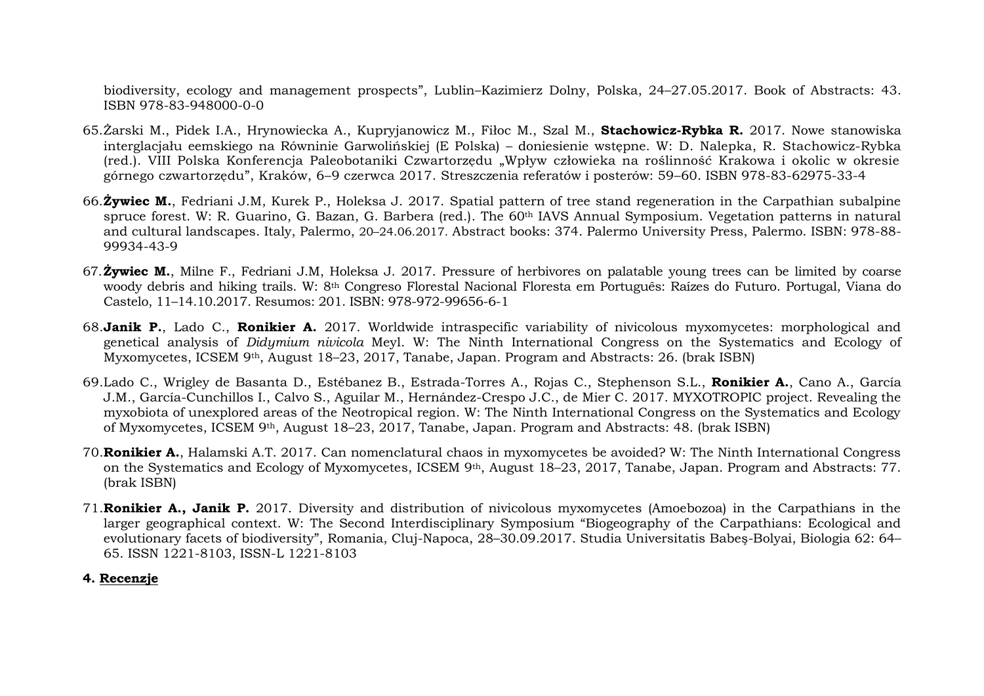biodiversity, ecology and management prospects", Lublin–Kazimierz Dolny, Polska, 24–27.05.2017. Book of Abstracts: 43. ISBN 978-83-948000-0-0

- 65.Żarski M., Pidek I.A., Hrynowiecka A., Kupryjanowicz M., Fiłoc M., Szal M., **Stachowicz-Rybka R.** 2017. Nowe stanowiska interglacjału eemskiego na Równinie Garwolińskiej (E Polska) – doniesienie wstępne. W: D. Nalepka, R. Stachowicz-Rybka (red.). VIII Polska Konferencja Paleobotaniki Czwartorzędu "Wpływ człowieka na roślinność Krakowa i okolic w okresie górnego czwartorzędu", Kraków, 6–9 czerwca 2017. Streszczenia referatów i posterów: 59–60. ISBN 978-83-62975-33-4
- 66.**Żywiec M.**, Fedriani J.M, Kurek P., Holeksa J. 2017. Spatial pattern of tree stand regeneration in the Carpathian subalpine spruce forest. W: R. Guarino, G. Bazan, G. Barbera (red.). The 60th IAVS Annual Symposium. Vegetation patterns in natural and cultural landscapes. Italy, Palermo, 20–24.06.2017. Abstract books: 374. Palermo University Press, Palermo. ISBN: 978-88- 99934-43-9
- 67.**Żywiec M.**, Milne F., Fedriani J.M, Holeksa J. 2017. Pressure of herbivores on palatable young trees can be limited by coarse woody debris and hiking trails. W: 8th Congreso Florestal Nacional Floresta em Português: Raízes do Futuro. Portugal, Viana do Castelo, 11–14.10.2017. Resumos: 201. ISBN: 978-972-99656-6-1
- 68.**Janik P.**, Lado C., **Ronikier A.** 2017. Worldwide intraspecific variability of nivicolous myxomycetes: morphological and genetical analysis of *Didymium nivicola* Meyl. W: The Ninth International Congress on the Systematics and Ecology of Myxomycetes, ICSEM 9th, August 18–23, 2017, Tanabe, Japan. Program and Abstracts: 26. (brak ISBN)
- 69.Lado C., Wrigley de Basanta D., Estébanez B., Estrada-Torres A., Rojas C., Stephenson S.L., **Ronikier A.**, Cano A., García J.M., García-Cunchillos I., Calvo S., Aguilar M., Hernández-Crespo J.C., de Mier C. 2017. MYXOTROPIC project. Revealing the myxobiota of unexplored areas of the Neotropical region. W: The Ninth International Congress on the Systematics and Ecology of Myxomycetes, ICSEM 9th, August 18–23, 2017, Tanabe, Japan. Program and Abstracts: 48. (brak ISBN)
- 70.**Ronikier A.**, Halamski A.T. 2017. Can nomenclatural chaos in myxomycetes be avoided? W: The Ninth International Congress on the Systematics and Ecology of Myxomycetes, ICSEM 9th, August 18–23, 2017, Tanabe, Japan. Program and Abstracts: 77. (brak ISBN)
- 71.**Ronikier A., Janik P.** 2017. Diversity and distribution of nivicolous myxomycetes (Amoebozoa) in the Carpathians in the larger geographical context. W: The Second Interdisciplinary Symposium "Biogeography of the Carpathians: Ecological and evolutionary facets of biodiversity", Romania, Cluj-Napoca, 28–30.09.2017. Studia Universitatis Babeş-Bolyai, Biologia 62: 64– 65. ISSN 1221-8103, ISSN-L 1221-8103

### **4. Recenzje**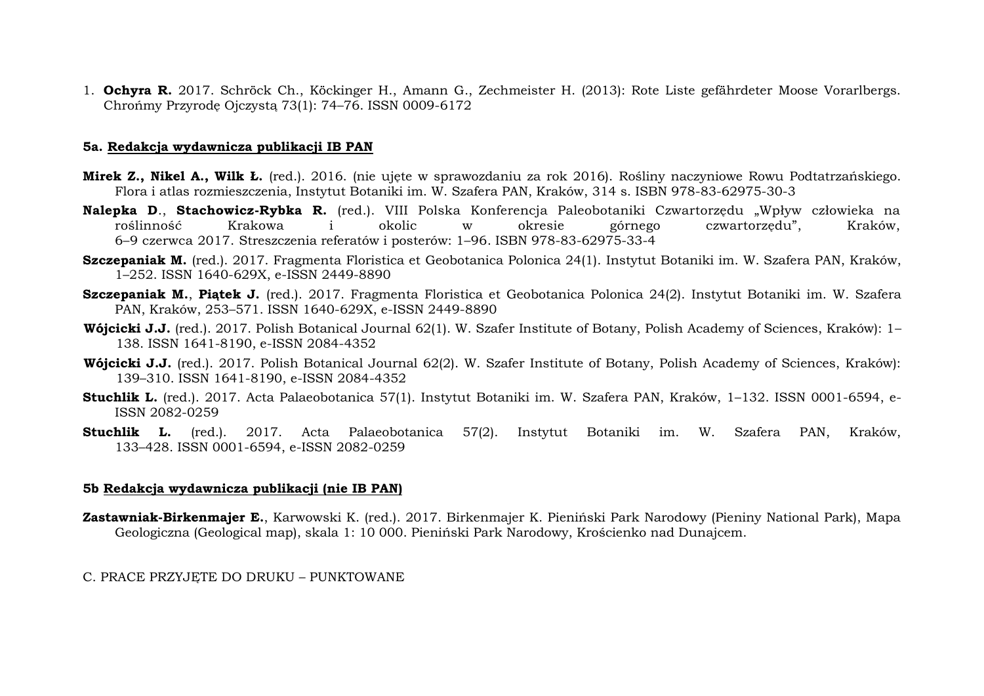1. **Ochyra R.** 2017. Schröck Ch., Köckinger H., Amann G., Zechmeister H. (2013): Rote Liste gefährdeter Moose Vorarlbergs. Chrońmy Przyrodę Ojczystą 73(1): 74–76. ISSN 0009-6172

#### **5a. Redakcja wydawnicza publikacji IB PAN**

- **Mirek Z., Nikel A., Wilk Ł.** (red.). 2016. (nie ujęte w sprawozdaniu za rok 2016). Rośliny naczyniowe Rowu Podtatrzańskiego. Flora i atlas rozmieszczenia, Instytut Botaniki im. W. Szafera PAN, Kraków, 314 s. ISBN 978-83-62975-30-3
- **Nalepka D**., **Stachowicz-Rybka R.** (red.). VIII Polska Konferencja Paleobotaniki Czwartorzędu "Wpływ człowieka na roślinność Krakowa i okolic w okresie górnego czwartorzędu", Kraków, 6–9 czerwca 2017. Streszczenia referatów i posterów: 1–96. ISBN 978-83-62975-33-4
- **Szczepaniak M.** (red.). 2017. Fragmenta Floristica et Geobotanica Polonica 24(1). Instytut Botaniki im. W. Szafera PAN, Kraków, 1–252. ISSN 1640-629X, e-ISSN 2449-8890
- **Szczepaniak M.**, **Piątek J.** (red.). 2017. Fragmenta Floristica et Geobotanica Polonica 24(2). Instytut Botaniki im. W. Szafera PAN, Kraków, 253–571. ISSN 1640-629X, e-ISSN 2449-8890
- **Wójcicki J.J.** (red.). 2017. Polish Botanical Journal 62(1). W. Szafer Institute of Botany, Polish Academy of Sciences, Kraków): 1– 138. ISSN 1641-8190, e-ISSN 2084-4352
- **Wójcicki J.J.** (red.). 2017. Polish Botanical Journal 62(2). W. Szafer Institute of Botany, Polish Academy of Sciences, Kraków): 139–310. ISSN 1641-8190, e-ISSN 2084-4352
- **Stuchlik L.** (red.). 2017. Acta Palaeobotanica 57(1). Instytut Botaniki im. W. Szafera PAN, Kraków, 1–132. ISSN 0001-6594, e-ISSN 2082-0259
- **Stuchlik L.** (red.). 2017. Acta Palaeobotanica 57(2). Instytut Botaniki im. W. Szafera PAN, Kraków, 133–428. ISSN 0001-6594, e-ISSN 2082-0259

### **5b Redakcja wydawnicza publikacji (nie IB PAN)**

**Zastawniak-Birkenmajer E.**, Karwowski K. (red.). 2017. Birkenmajer K. Pieniński Park Narodowy (Pieniny National Park), Mapa Geologiczna (Geological map), skala 1: 10 000. Pieniński Park Narodowy, Krościenko nad Dunajcem.

### C. PRACE PRZYJĘTE DO DRUKU – PUNKTOWANE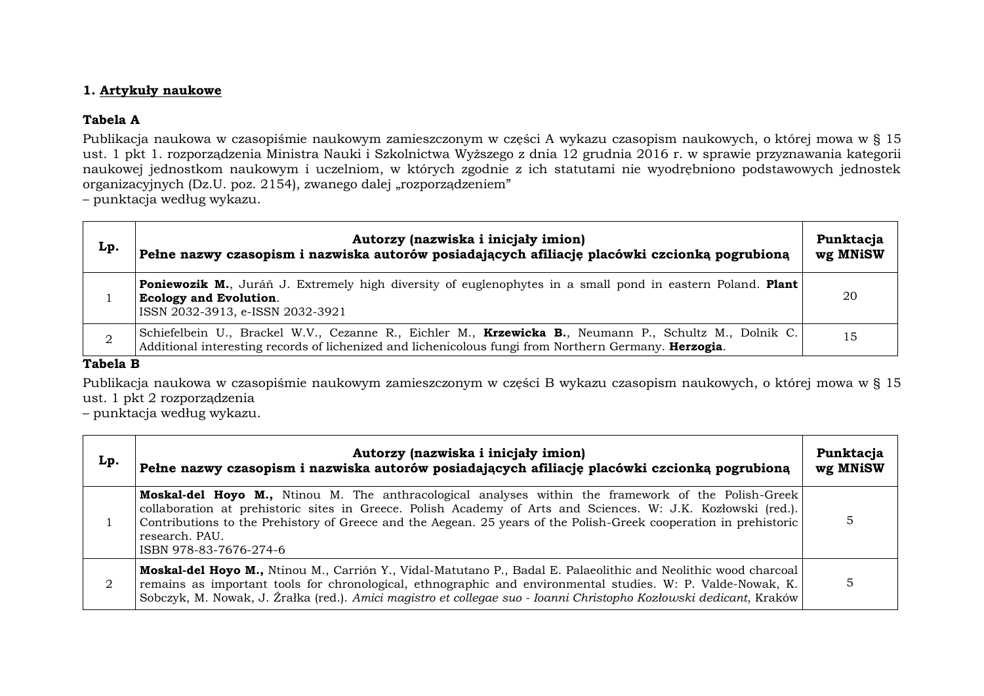### **1. Artykuły naukowe**

### **Tabela A**

Publikacja naukowa w czasopiśmie naukowym zamieszczonym w części A wykazu czasopism naukowych, o której mowa w § 15 ust. 1 pkt 1. rozporządzenia Ministra Nauki i Szkolnictwa Wyższego z dnia 12 grudnia 2016 r. w sprawie przyznawania kategorii naukowej jednostkom naukowym i uczelniom, w których zgodnie z ich statutami nie wyodrębniono podstawowych jednostek organizacyjnych (Dz.U. poz. 2154), zwanego dalej "rozporządzeniem"

– punktacja według wykazu.

| Lp. | Autorzy (nazwiska i inicjały imion)<br>Pełne nazwy czasopism i nazwiska autorów posiadających afiliację placówki czcionką pogrubioną                                                                            | Punktacja<br>wg MNiSW |
|-----|-----------------------------------------------------------------------------------------------------------------------------------------------------------------------------------------------------------------|-----------------------|
|     | <b>Poniewozik M.</b> , Juráň J. Extremely high diversity of euglenophytes in a small pond in eastern Poland. Plant<br><b>Ecology and Evolution.</b><br>ISSN 2032-3913, e-ISSN 2032-3921                         | 20                    |
|     | Schiefelbein U., Brackel W.V., Cezanne R., Eichler M., Krzewicka B., Neumann P., Schultz M., Dolnik C.<br>Additional interesting records of lichenized and lichenicolous fungi from Northern Germany. Herzogia. | 15                    |

### **Tabela B**

Publikacja naukowa w czasopiśmie naukowym zamieszczonym w części B wykazu czasopism naukowych, o której mowa w § 15 ust. 1 pkt 2 rozporządzenia

– punktacja według wykazu.

| Lp. | Autorzy (nazwiska i inicjały imion)<br>Pełne nazwy czasopism i nazwiska autorów posiadających afiliację placówki czcionką pogrubioną                                                                                                                                                                                                                                                 | Punktacja<br>wg MNiSW |
|-----|--------------------------------------------------------------------------------------------------------------------------------------------------------------------------------------------------------------------------------------------------------------------------------------------------------------------------------------------------------------------------------------|-----------------------|
|     | Moskal-del Hoyo M., Ntinou M. The anthracological analyses within the framework of the Polish-Greek<br>collaboration at prehistoric sites in Greece. Polish Academy of Arts and Sciences. W: J.K. Kozłowski (red.).<br>Contributions to the Prehistory of Greece and the Aegean. 25 years of the Polish-Greek cooperation in prehistoric<br>research, PAU.<br>ISBN 978-83-7676-274-6 |                       |
| 2   | Moskal-del Hoyo M., Ntinou M., Carrión Y., Vidal-Matutano P., Badal E. Palaeolithic and Neolithic wood charcoal<br>remains as important tools for chronological, ethnographic and environmental studies. W: P. Valde-Nowak, K.<br>Sobczyk, M. Nowak, J. Źrałka (red.). Amici magistro et collegae suo - Ioanni Christopho Kozłowski dedicant, Kraków                                 |                       |